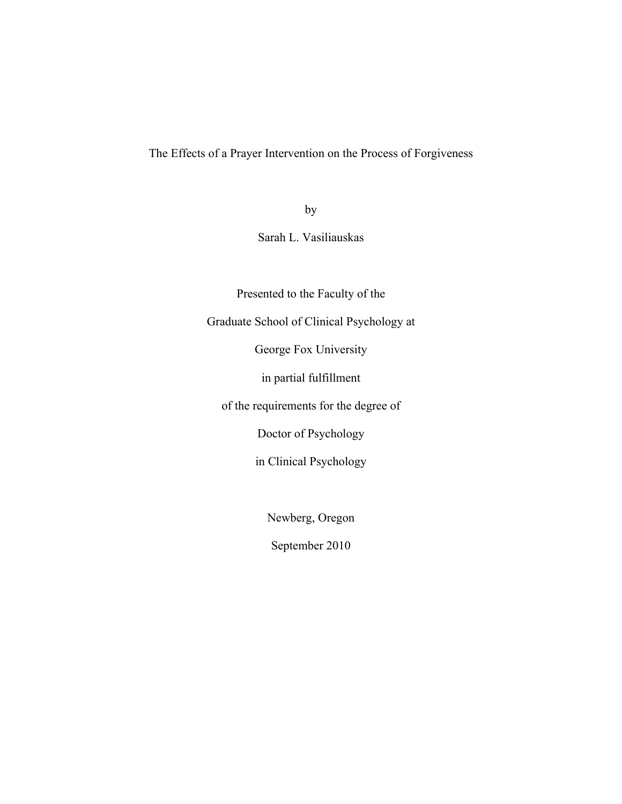The Effects of a Prayer Intervention on the Process of Forgiveness

by

Sarah L. Vasiliauskas

Presented to the Faculty of the

Graduate School of Clinical Psychology at

George Fox University

in partial fulfillment

of the requirements for the degree of

Doctor of Psychology

in Clinical Psychology

Newberg, Oregon

September 2010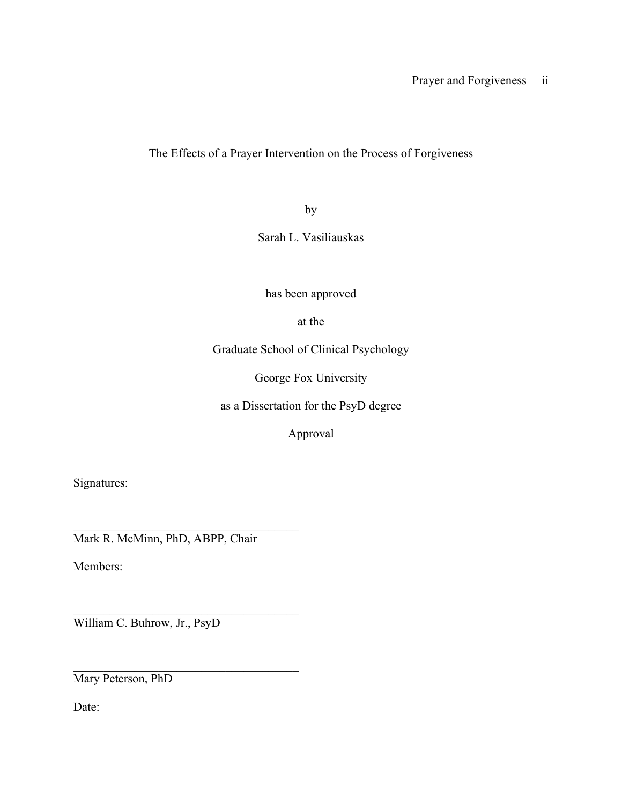The Effects of a Prayer Intervention on the Process of Forgiveness

by

Sarah L. Vasiliauskas

has been approved

at the

Graduate School of Clinical Psychology

George Fox University

as a Dissertation for the PsyD degree

Approval

Signatures:

 $\mathcal{L}_\text{max}$  , and the set of the set of the set of the set of the set of the set of the set of the set of the set of the set of the set of the set of the set of the set of the set of the set of the set of the set of the Mark R. McMinn, PhD, ABPP, Chair

Members:

 $\mathcal{L}_\text{max}$  , and the set of the set of the set of the set of the set of the set of the set of the set of the set of the set of the set of the set of the set of the set of the set of the set of the set of the set of the William C. Buhrow, Jr., PsyD

 $\mathcal{L}_\text{max}$  , and the set of the set of the set of the set of the set of the set of the set of the set of the set of the set of the set of the set of the set of the set of the set of the set of the set of the set of the Mary Peterson, PhD

Date: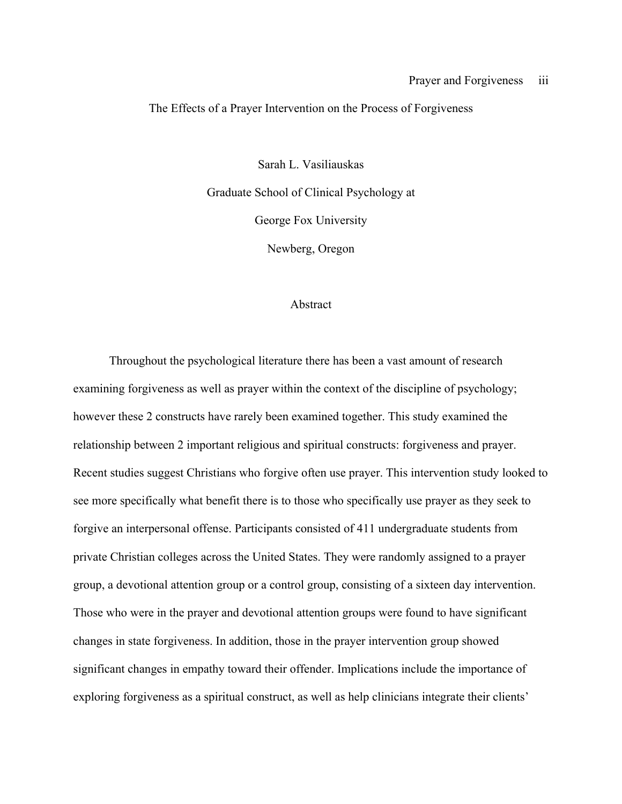#### The Effects of a Prayer Intervention on the Process of Forgiveness

Sarah L. Vasiliauskas Graduate School of Clinical Psychology at George Fox University Newberg, Oregon

#### Abstract

Throughout the psychological literature there has been a vast amount of research examining forgiveness as well as prayer within the context of the discipline of psychology; however these 2 constructs have rarely been examined together. This study examined the relationship between 2 important religious and spiritual constructs: forgiveness and prayer. Recent studies suggest Christians who forgive often use prayer. This intervention study looked to see more specifically what benefit there is to those who specifically use prayer as they seek to forgive an interpersonal offense. Participants consisted of 411 undergraduate students from private Christian colleges across the United States. They were randomly assigned to a prayer group, a devotional attention group or a control group, consisting of a sixteen day intervention. Those who were in the prayer and devotional attention groups were found to have significant changes in state forgiveness. In addition, those in the prayer intervention group showed significant changes in empathy toward their offender. Implications include the importance of exploring forgiveness as a spiritual construct, as well as help clinicians integrate their clients'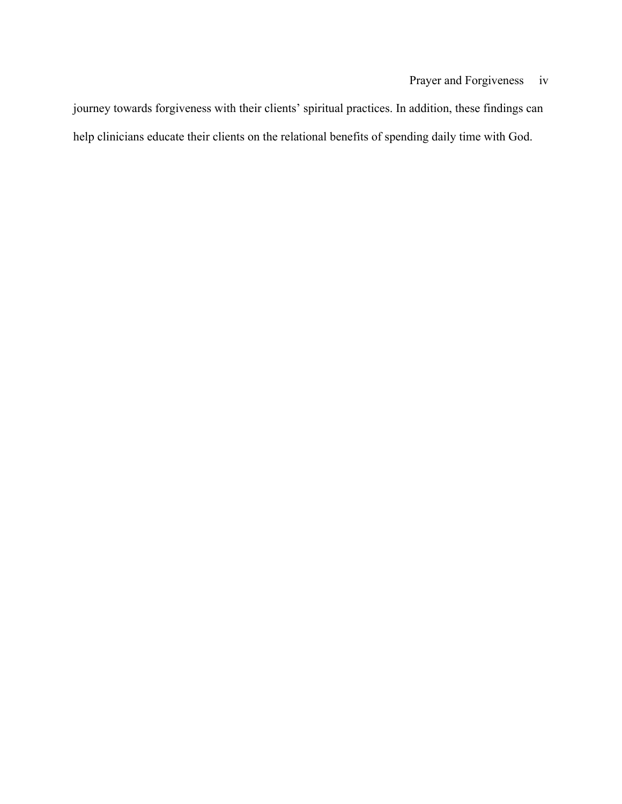journey towards forgiveness with their clients' spiritual practices. In addition, these findings can help clinicians educate their clients on the relational benefits of spending daily time with God.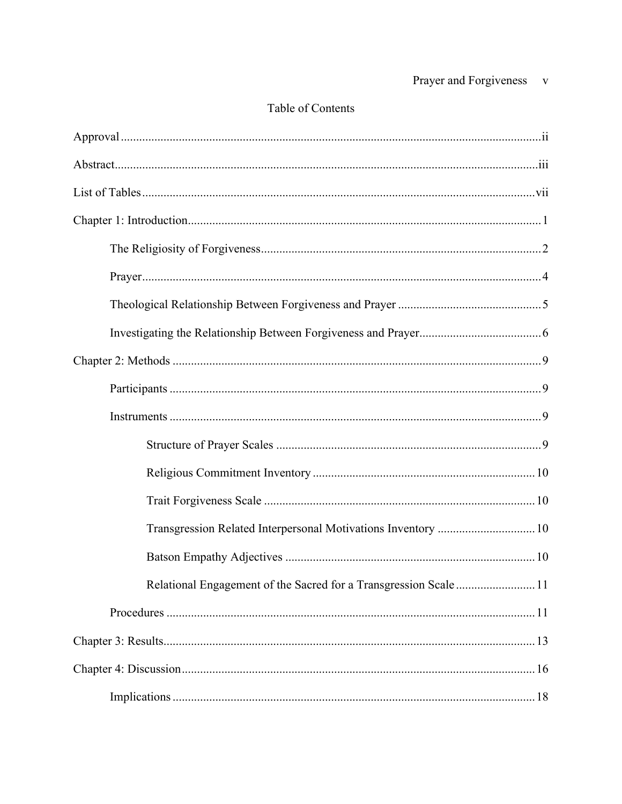# Table of Contents

| Transgression Related Interpersonal Motivations Inventory  10    |  |
|------------------------------------------------------------------|--|
|                                                                  |  |
| Relational Engagement of the Sacred for a Transgression Scale 11 |  |
|                                                                  |  |
|                                                                  |  |
|                                                                  |  |
|                                                                  |  |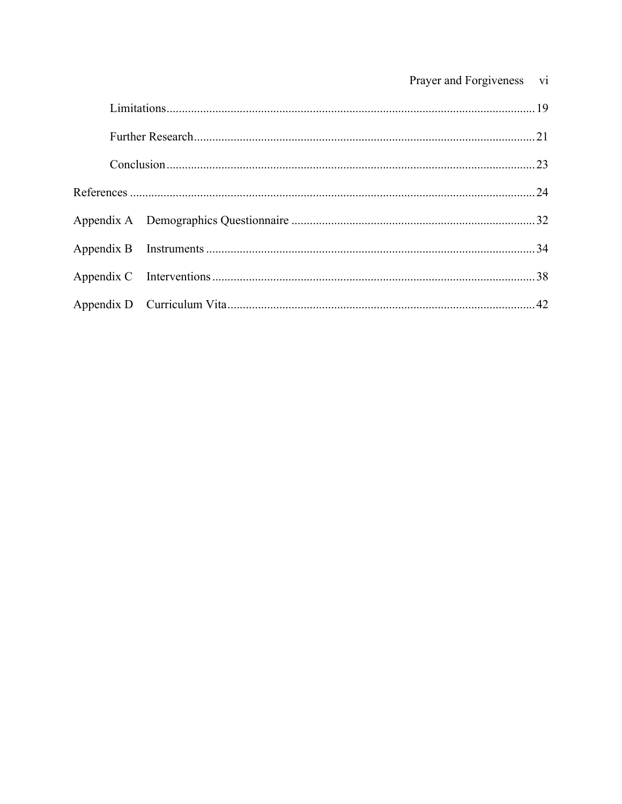| Prayer and Forgiveness | V1 |
|------------------------|----|
|                        |    |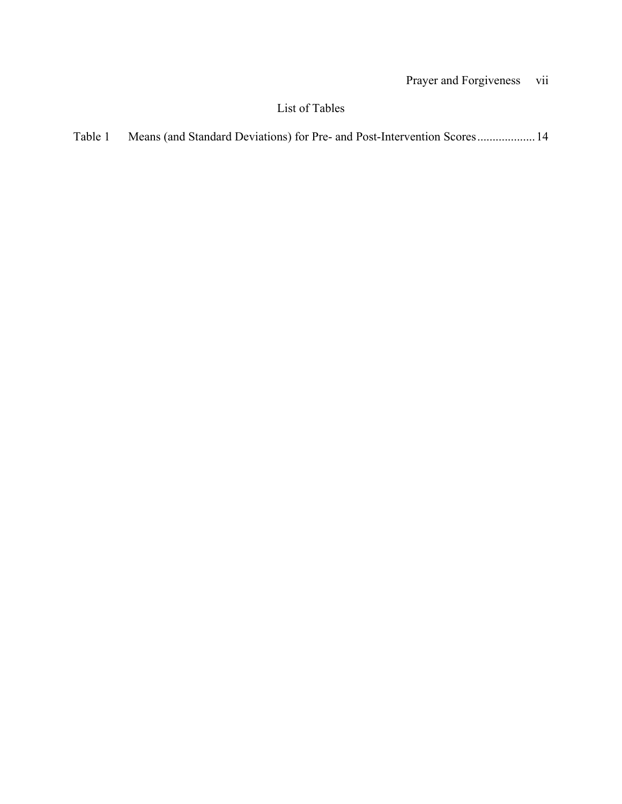# List of Tables

| Table 1 |  |  |  |  |
|---------|--|--|--|--|
|---------|--|--|--|--|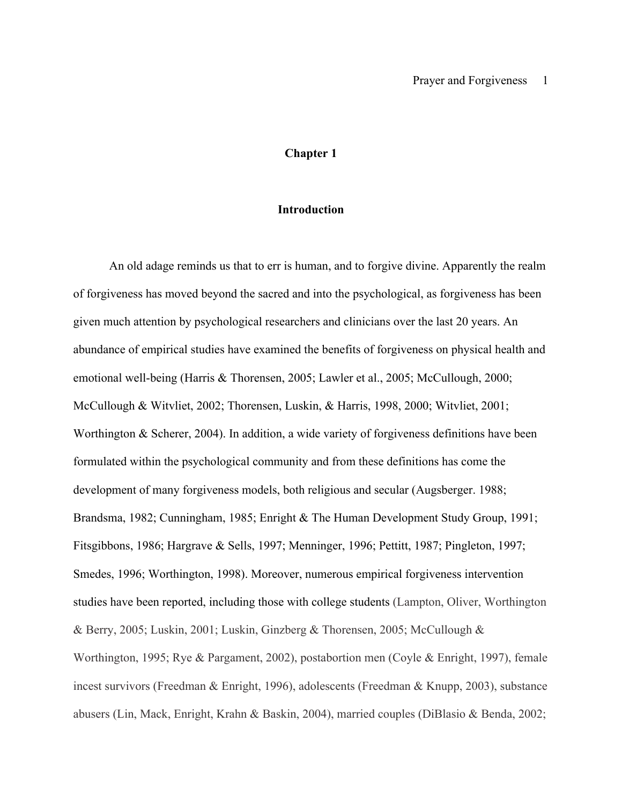#### **Chapter 1**

#### **Introduction**

An old adage reminds us that to err is human, and to forgive divine. Apparently the realm of forgiveness has moved beyond the sacred and into the psychological, as forgiveness has been given much attention by psychological researchers and clinicians over the last 20 years. An abundance of empirical studies have examined the benefits of forgiveness on physical health and emotional well-being (Harris & Thorensen, 2005; Lawler et al., 2005; McCullough, 2000; McCullough & Witvliet, 2002; Thorensen, Luskin, & Harris, 1998, 2000; Witvliet, 2001; Worthington & Scherer, 2004). In addition, a wide variety of forgiveness definitions have been formulated within the psychological community and from these definitions has come the development of many forgiveness models, both religious and secular (Augsberger. 1988; Brandsma, 1982; Cunningham, 1985; Enright & The Human Development Study Group, 1991; Fitsgibbons, 1986; Hargrave & Sells, 1997; Menninger, 1996; Pettitt, 1987; Pingleton, 1997; Smedes, 1996; Worthington, 1998). Moreover, numerous empirical forgiveness intervention studies have been reported, including those with college students (Lampton, Oliver, Worthington & Berry, 2005; Luskin, 2001; Luskin, Ginzberg & Thorensen, 2005; McCullough & Worthington, 1995; Rye & Pargament, 2002), postabortion men (Coyle & Enright, 1997), female incest survivors (Freedman & Enright, 1996), adolescents (Freedman & Knupp, 2003), substance abusers (Lin, Mack, Enright, Krahn & Baskin, 2004), married couples (DiBlasio & Benda, 2002;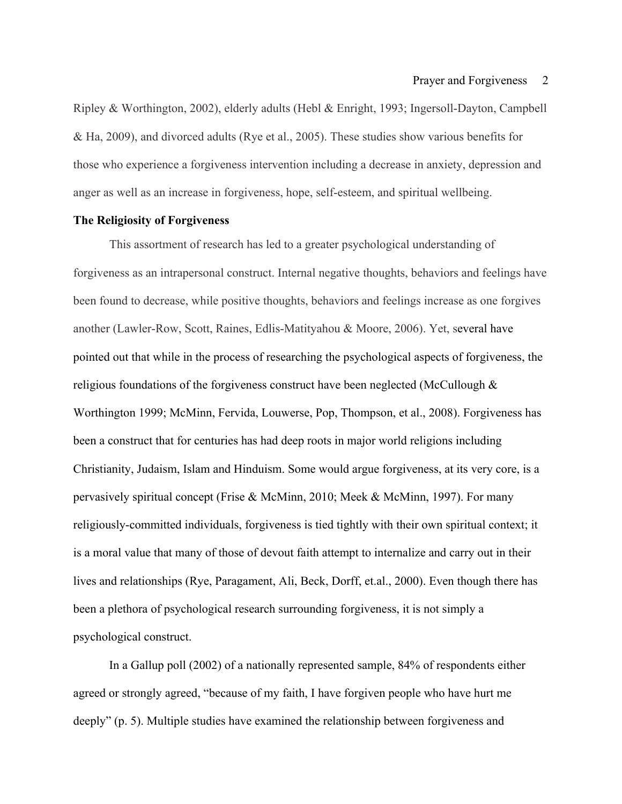Ripley & Worthington, 2002), elderly adults (Hebl & Enright, 1993; Ingersoll-Dayton, Campbell & Ha, 2009), and divorced adults (Rye et al., 2005). These studies show various benefits for those who experience a forgiveness intervention including a decrease in anxiety, depression and anger as well as an increase in forgiveness, hope, self-esteem, and spiritual wellbeing.

#### **The Religiosity of Forgiveness**

This assortment of research has led to a greater psychological understanding of forgiveness as an intrapersonal construct. Internal negative thoughts, behaviors and feelings have been found to decrease, while positive thoughts, behaviors and feelings increase as one forgives another (Lawler-Row, Scott, Raines, Edlis-Matityahou & Moore, 2006). Yet, several have pointed out that while in the process of researching the psychological aspects of forgiveness, the religious foundations of the forgiveness construct have been neglected (McCullough & Worthington 1999; McMinn, Fervida, Louwerse, Pop, Thompson, et al., 2008). Forgiveness has been a construct that for centuries has had deep roots in major world religions including Christianity, Judaism, Islam and Hinduism. Some would argue forgiveness, at its very core, is a pervasively spiritual concept (Frise & McMinn, 2010; Meek & McMinn, 1997). For many religiously-committed individuals, forgiveness is tied tightly with their own spiritual context; it is a moral value that many of those of devout faith attempt to internalize and carry out in their lives and relationships (Rye, Paragament, Ali, Beck, Dorff, et.al., 2000). Even though there has been a plethora of psychological research surrounding forgiveness, it is not simply a psychological construct.

In a Gallup poll (2002) of a nationally represented sample, 84% of respondents either agreed or strongly agreed, "because of my faith, I have forgiven people who have hurt me deeply" (p. 5). Multiple studies have examined the relationship between forgiveness and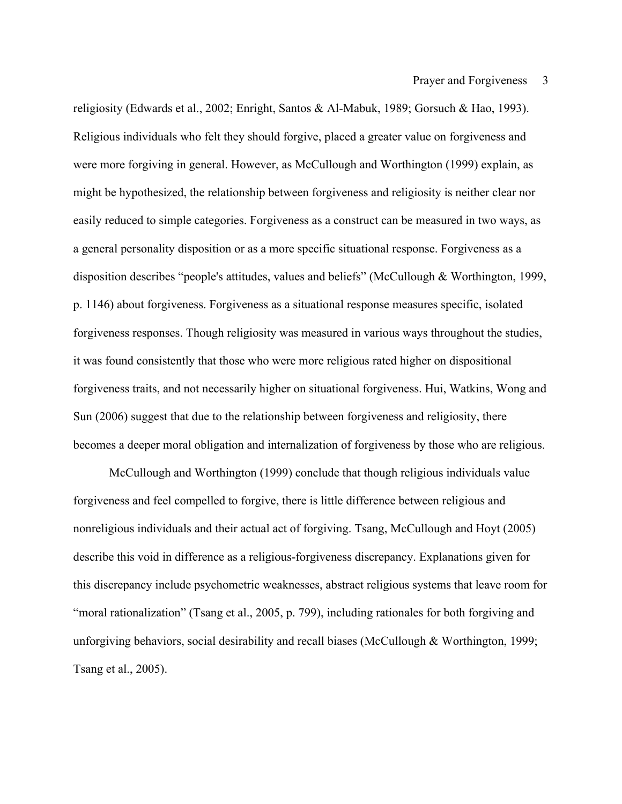religiosity (Edwards et al., 2002; Enright, Santos & Al-Mabuk, 1989; Gorsuch & Hao, 1993). Religious individuals who felt they should forgive, placed a greater value on forgiveness and were more forgiving in general. However, as McCullough and Worthington (1999) explain, as might be hypothesized, the relationship between forgiveness and religiosity is neither clear nor easily reduced to simple categories. Forgiveness as a construct can be measured in two ways, as a general personality disposition or as a more specific situational response. Forgiveness as a disposition describes "people's attitudes, values and beliefs" (McCullough & Worthington, 1999, p. 1146) about forgiveness. Forgiveness as a situational response measures specific, isolated forgiveness responses. Though religiosity was measured in various ways throughout the studies, it was found consistently that those who were more religious rated higher on dispositional forgiveness traits, and not necessarily higher on situational forgiveness. Hui, Watkins, Wong and Sun (2006) suggest that due to the relationship between forgiveness and religiosity, there becomes a deeper moral obligation and internalization of forgiveness by those who are religious.

McCullough and Worthington (1999) conclude that though religious individuals value forgiveness and feel compelled to forgive, there is little difference between religious and nonreligious individuals and their actual act of forgiving. Tsang, McCullough and Hoyt (2005) describe this void in difference as a religious-forgiveness discrepancy. Explanations given for this discrepancy include psychometric weaknesses, abstract religious systems that leave room for "moral rationalization" (Tsang et al., 2005, p. 799), including rationales for both forgiving and unforgiving behaviors, social desirability and recall biases (McCullough & Worthington, 1999; Tsang et al., 2005).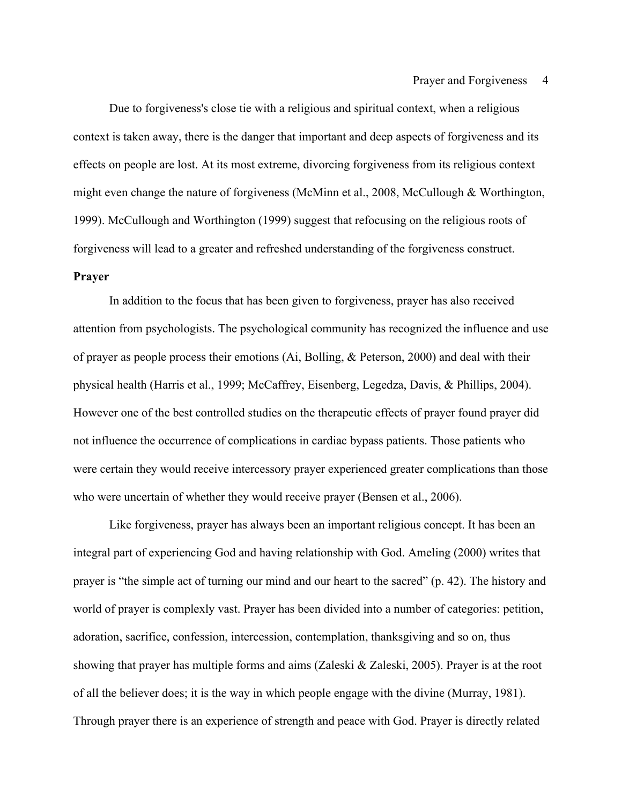Due to forgiveness's close tie with a religious and spiritual context, when a religious context is taken away, there is the danger that important and deep aspects of forgiveness and its effects on people are lost. At its most extreme, divorcing forgiveness from its religious context might even change the nature of forgiveness (McMinn et al., 2008, McCullough & Worthington, 1999). McCullough and Worthington (1999) suggest that refocusing on the religious roots of forgiveness will lead to a greater and refreshed understanding of the forgiveness construct.

### **Prayer**

In addition to the focus that has been given to forgiveness, prayer has also received attention from psychologists. The psychological community has recognized the influence and use of prayer as people process their emotions (Ai, Bolling, & Peterson, 2000) and deal with their physical health (Harris et al., 1999; McCaffrey, Eisenberg, Legedza, Davis, & Phillips, 2004). However one of the best controlled studies on the therapeutic effects of prayer found prayer did not influence the occurrence of complications in cardiac bypass patients. Those patients who were certain they would receive intercessory prayer experienced greater complications than those who were uncertain of whether they would receive prayer (Bensen et al., 2006).

Like forgiveness, prayer has always been an important religious concept. It has been an integral part of experiencing God and having relationship with God. Ameling (2000) writes that prayer is "the simple act of turning our mind and our heart to the sacred" (p. 42). The history and world of prayer is complexly vast. Prayer has been divided into a number of categories: petition, adoration, sacrifice, confession, intercession, contemplation, thanksgiving and so on, thus showing that prayer has multiple forms and aims (Zaleski & Zaleski, 2005). Prayer is at the root of all the believer does; it is the way in which people engage with the divine (Murray, 1981). Through prayer there is an experience of strength and peace with God. Prayer is directly related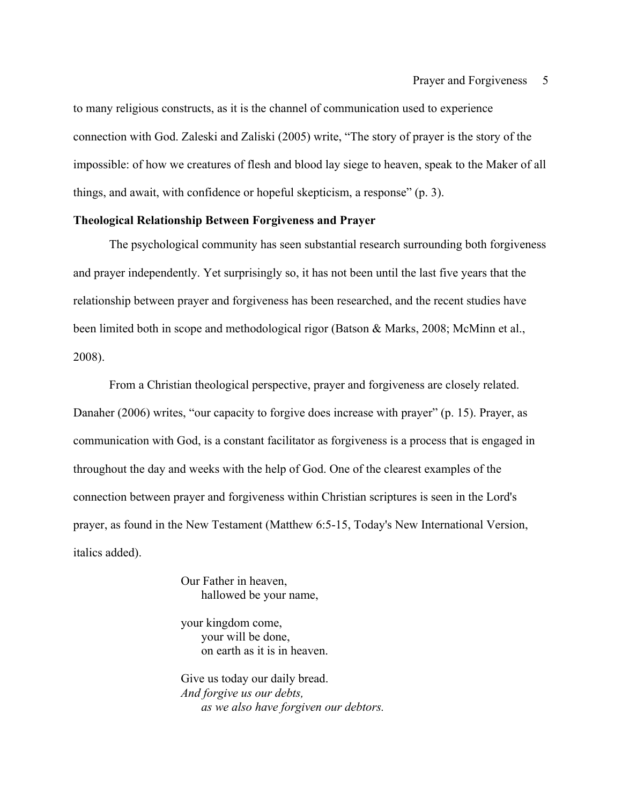to many religious constructs, as it is the channel of communication used to experience connection with God. Zaleski and Zaliski (2005) write, "The story of prayer is the story of the impossible: of how we creatures of flesh and blood lay siege to heaven, speak to the Maker of all things, and await, with confidence or hopeful skepticism, a response" (p. 3).

### **Theological Relationship Between Forgiveness and Prayer**

The psychological community has seen substantial research surrounding both forgiveness and prayer independently. Yet surprisingly so, it has not been until the last five years that the relationship between prayer and forgiveness has been researched, and the recent studies have been limited both in scope and methodological rigor (Batson & Marks, 2008; McMinn et al., 2008).

From a Christian theological perspective, prayer and forgiveness are closely related. Danaher (2006) writes, "our capacity to forgive does increase with prayer" (p. 15). Prayer, as communication with God, is a constant facilitator as forgiveness is a process that is engaged in throughout the day and weeks with the help of God. One of the clearest examples of the connection between prayer and forgiveness within Christian scriptures is seen in the Lord's prayer, as found in the New Testament (Matthew 6:5-15, Today's New International Version, italics added).

> Our Father in heaven, hallowed be your name,

your kingdom come, your will be done, on earth as it is in heaven.

Give us today our daily bread. *And forgive us our debts, as we also have forgiven our debtors.*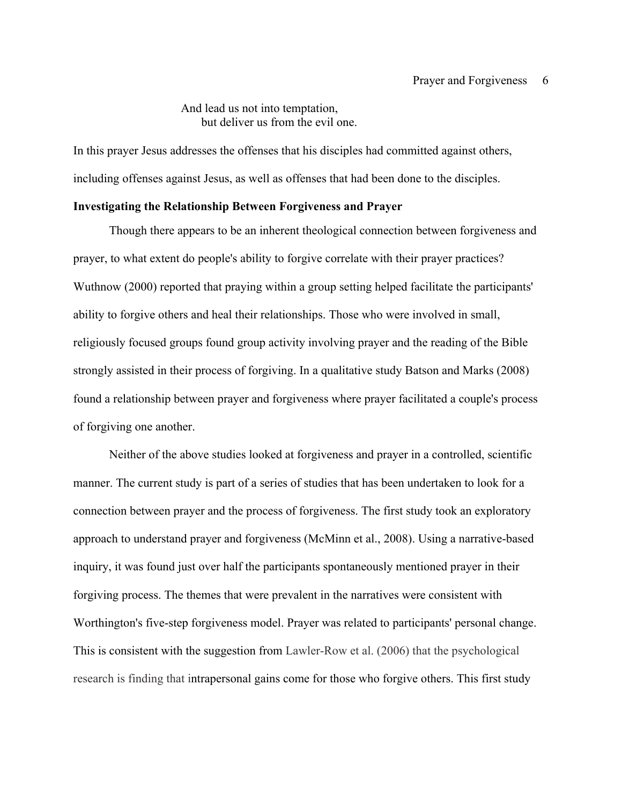#### And lead us not into temptation, but deliver us from the evil one.

In this prayer Jesus addresses the offenses that his disciples had committed against others, including offenses against Jesus, as well as offenses that had been done to the disciples.

#### **Investigating the Relationship Between Forgiveness and Prayer**

Though there appears to be an inherent theological connection between forgiveness and prayer, to what extent do people's ability to forgive correlate with their prayer practices? Wuthnow (2000) reported that praying within a group setting helped facilitate the participants' ability to forgive others and heal their relationships. Those who were involved in small, religiously focused groups found group activity involving prayer and the reading of the Bible strongly assisted in their process of forgiving. In a qualitative study Batson and Marks (2008) found a relationship between prayer and forgiveness where prayer facilitated a couple's process of forgiving one another.

Neither of the above studies looked at forgiveness and prayer in a controlled, scientific manner. The current study is part of a series of studies that has been undertaken to look for a connection between prayer and the process of forgiveness. The first study took an exploratory approach to understand prayer and forgiveness (McMinn et al., 2008). Using a narrative-based inquiry, it was found just over half the participants spontaneously mentioned prayer in their forgiving process. The themes that were prevalent in the narratives were consistent with Worthington's five-step forgiveness model. Prayer was related to participants' personal change. This is consistent with the suggestion from Lawler-Row et al. (2006) that the psychological research is finding that intrapersonal gains come for those who forgive others. This first study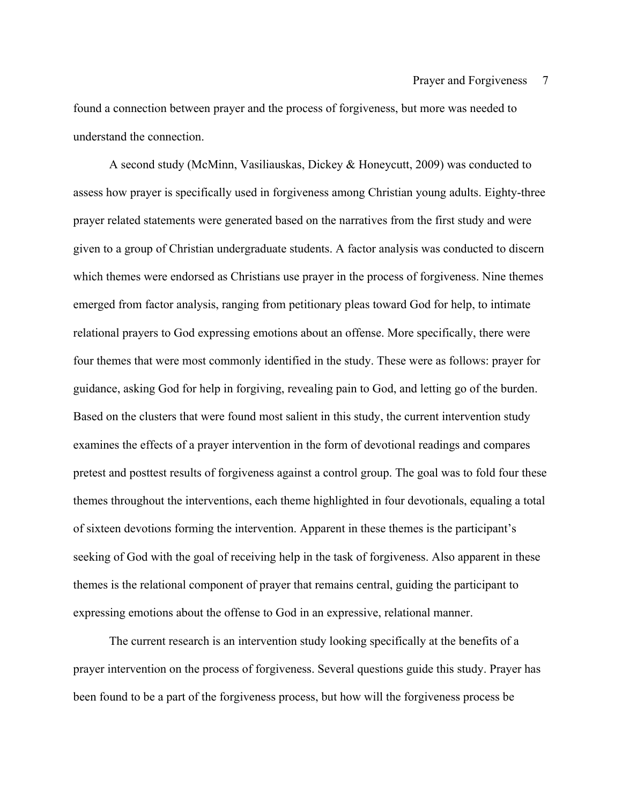found a connection between prayer and the process of forgiveness, but more was needed to understand the connection.

A second study (McMinn, Vasiliauskas, Dickey & Honeycutt, 2009) was conducted to assess how prayer is specifically used in forgiveness among Christian young adults. Eighty-three prayer related statements were generated based on the narratives from the first study and were given to a group of Christian undergraduate students. A factor analysis was conducted to discern which themes were endorsed as Christians use prayer in the process of forgiveness. Nine themes emerged from factor analysis, ranging from petitionary pleas toward God for help, to intimate relational prayers to God expressing emotions about an offense. More specifically, there were four themes that were most commonly identified in the study. These were as follows: prayer for guidance, asking God for help in forgiving, revealing pain to God, and letting go of the burden. Based on the clusters that were found most salient in this study, the current intervention study examines the effects of a prayer intervention in the form of devotional readings and compares pretest and posttest results of forgiveness against a control group. The goal was to fold four these themes throughout the interventions, each theme highlighted in four devotionals, equaling a total of sixteen devotions forming the intervention. Apparent in these themes is the participant's seeking of God with the goal of receiving help in the task of forgiveness. Also apparent in these themes is the relational component of prayer that remains central, guiding the participant to expressing emotions about the offense to God in an expressive, relational manner.

The current research is an intervention study looking specifically at the benefits of a prayer intervention on the process of forgiveness. Several questions guide this study. Prayer has been found to be a part of the forgiveness process, but how will the forgiveness process be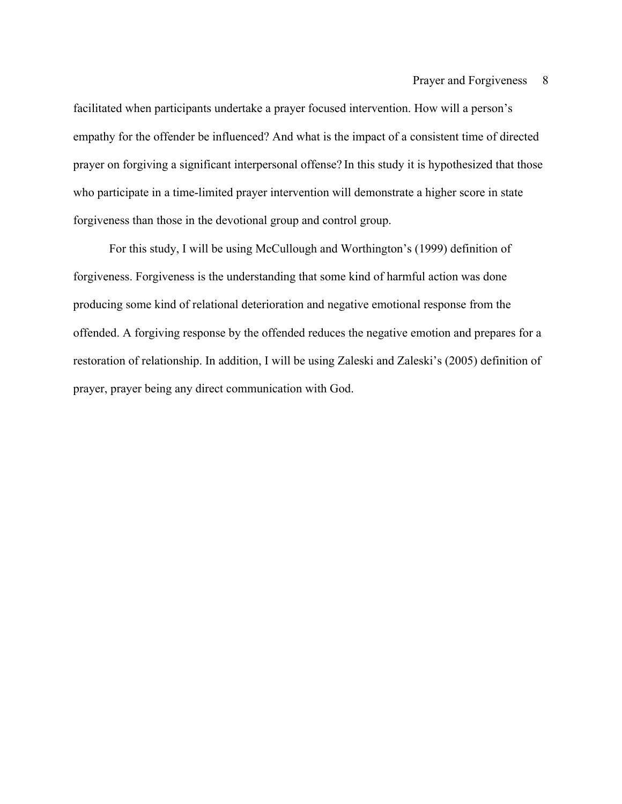facilitated when participants undertake a prayer focused intervention. How will a person's empathy for the offender be influenced? And what is the impact of a consistent time of directed prayer on forgiving a significant interpersonal offense? In this study it is hypothesized that those who participate in a time-limited prayer intervention will demonstrate a higher score in state forgiveness than those in the devotional group and control group.

For this study, I will be using McCullough and Worthington's (1999) definition of forgiveness. Forgiveness is the understanding that some kind of harmful action was done producing some kind of relational deterioration and negative emotional response from the offended. A forgiving response by the offended reduces the negative emotion and prepares for a restoration of relationship. In addition, I will be using Zaleski and Zaleski's (2005) definition of prayer, prayer being any direct communication with God.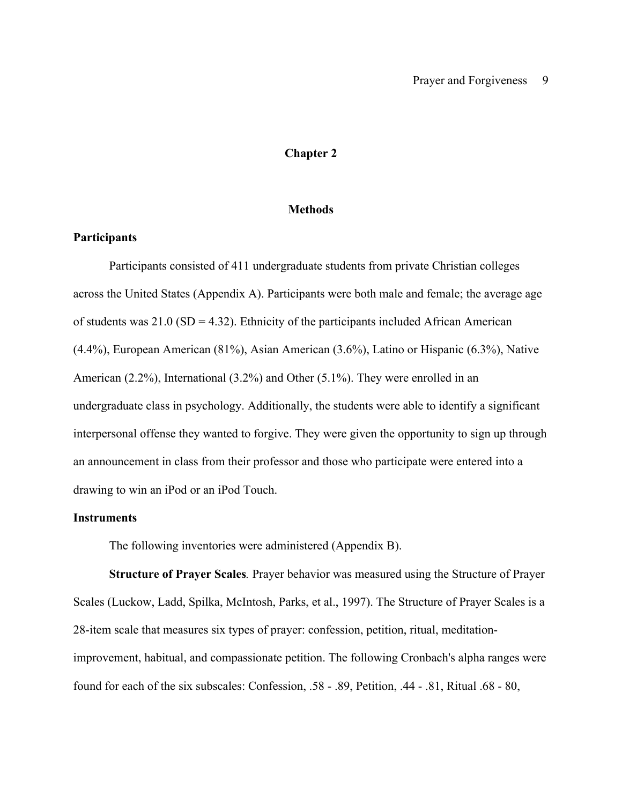#### **Chapter 2**

#### **Methods**

#### **Participants**

Participants consisted of 411 undergraduate students from private Christian colleges across the United States (Appendix A). Participants were both male and female; the average age of students was  $21.0$  (SD = 4.32). Ethnicity of the participants included African American (4.4%), European American (81%), Asian American (3.6%), Latino or Hispanic (6.3%), Native American (2.2%), International (3.2%) and Other (5.1%). They were enrolled in an undergraduate class in psychology. Additionally, the students were able to identify a significant interpersonal offense they wanted to forgive. They were given the opportunity to sign up through an announcement in class from their professor and those who participate were entered into a drawing to win an iPod or an iPod Touch.

#### **Instruments**

The following inventories were administered (Appendix B).

**Structure of Prayer Scales***.* Prayer behavior was measured using the Structure of Prayer Scales (Luckow, Ladd, Spilka, McIntosh, Parks, et al., 1997). The Structure of Prayer Scales is a 28-item scale that measures six types of prayer: confession, petition, ritual, meditationimprovement, habitual, and compassionate petition. The following Cronbach's alpha ranges were found for each of the six subscales: Confession, .58 - .89, Petition, .44 - .81, Ritual .68 - 80,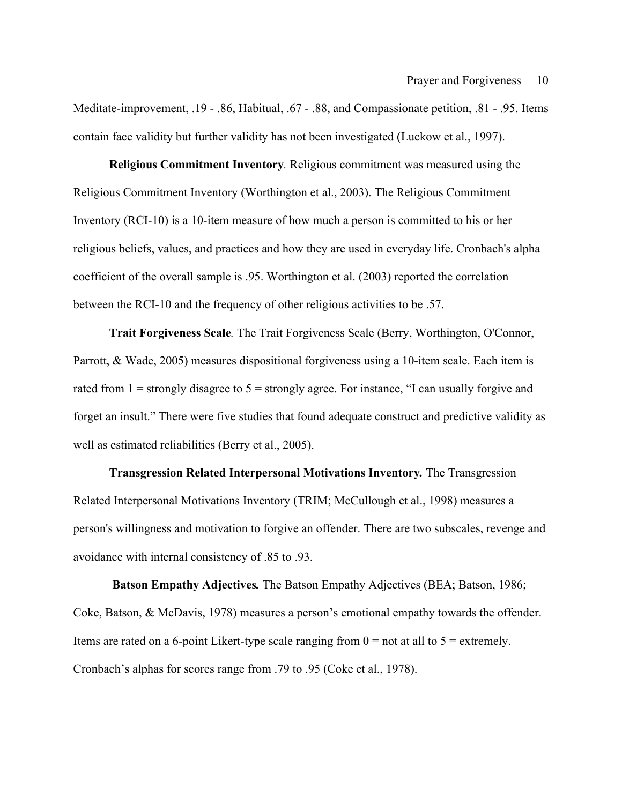Meditate-improvement, .19 - .86, Habitual, .67 - .88, and Compassionate petition, .81 - .95. Items contain face validity but further validity has not been investigated (Luckow et al., 1997).

**Religious Commitment Inventory***.* Religious commitment was measured using the Religious Commitment Inventory (Worthington et al., 2003). The Religious Commitment Inventory (RCI-10) is a 10-item measure of how much a person is committed to his or her religious beliefs, values, and practices and how they are used in everyday life. Cronbach's alpha coefficient of the overall sample is .95. Worthington et al. (2003) reported the correlation between the RCI-10 and the frequency of other religious activities to be .57.

**Trait Forgiveness Scale***.* The Trait Forgiveness Scale (Berry, Worthington, O'Connor, Parrott, & Wade, 2005) measures dispositional forgiveness using a 10-item scale. Each item is rated from  $1 =$  strongly disagree to  $5 =$  strongly agree. For instance, "I can usually forgive and forget an insult." There were five studies that found adequate construct and predictive validity as well as estimated reliabilities (Berry et al., 2005).

**Transgression Related Interpersonal Motivations Inventory***.* The Transgression Related Interpersonal Motivations Inventory (TRIM; McCullough et al., 1998) measures a person's willingness and motivation to forgive an offender. There are two subscales, revenge and avoidance with internal consistency of .85 to .93.

**Batson Empathy Adjectives***.* The Batson Empathy Adjectives (BEA; Batson, 1986; Coke, Batson, & McDavis, 1978) measures a person's emotional empathy towards the offender. Items are rated on a 6-point Likert-type scale ranging from  $0 =$  not at all to  $5 =$  extremely. Cronbach's alphas for scores range from .79 to .95 (Coke et al., 1978).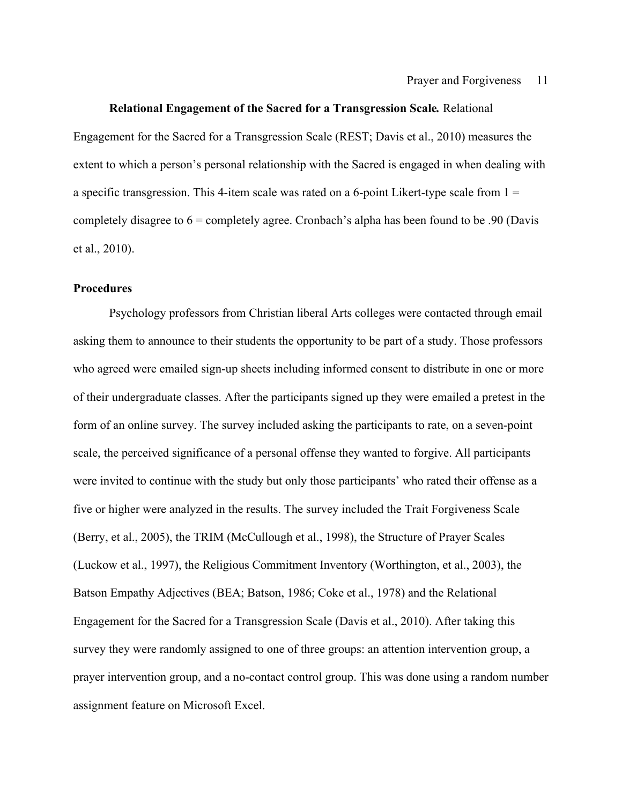#### **Relational Engagement of the Sacred for a Transgression Scale***.* Relational

Engagement for the Sacred for a Transgression Scale (REST; Davis et al., 2010) measures the extent to which a person's personal relationship with the Sacred is engaged in when dealing with a specific transgression. This 4-item scale was rated on a 6-point Likert-type scale from  $1 =$ completely disagree to  $6 =$  completely agree. Cronbach's alpha has been found to be .90 (Davis et al., 2010).

### **Procedures**

Psychology professors from Christian liberal Arts colleges were contacted through email asking them to announce to their students the opportunity to be part of a study. Those professors who agreed were emailed sign-up sheets including informed consent to distribute in one or more of their undergraduate classes. After the participants signed up they were emailed a pretest in the form of an online survey. The survey included asking the participants to rate, on a seven-point scale, the perceived significance of a personal offense they wanted to forgive. All participants were invited to continue with the study but only those participants' who rated their offense as a five or higher were analyzed in the results. The survey included the Trait Forgiveness Scale (Berry, et al., 2005), the TRIM (McCullough et al., 1998), the Structure of Prayer Scales (Luckow et al., 1997), the Religious Commitment Inventory (Worthington, et al., 2003), the Batson Empathy Adjectives (BEA; Batson, 1986; Coke et al., 1978) and the Relational Engagement for the Sacred for a Transgression Scale (Davis et al., 2010). After taking this survey they were randomly assigned to one of three groups: an attention intervention group, a prayer intervention group, and a no-contact control group. This was done using a random number assignment feature on Microsoft Excel.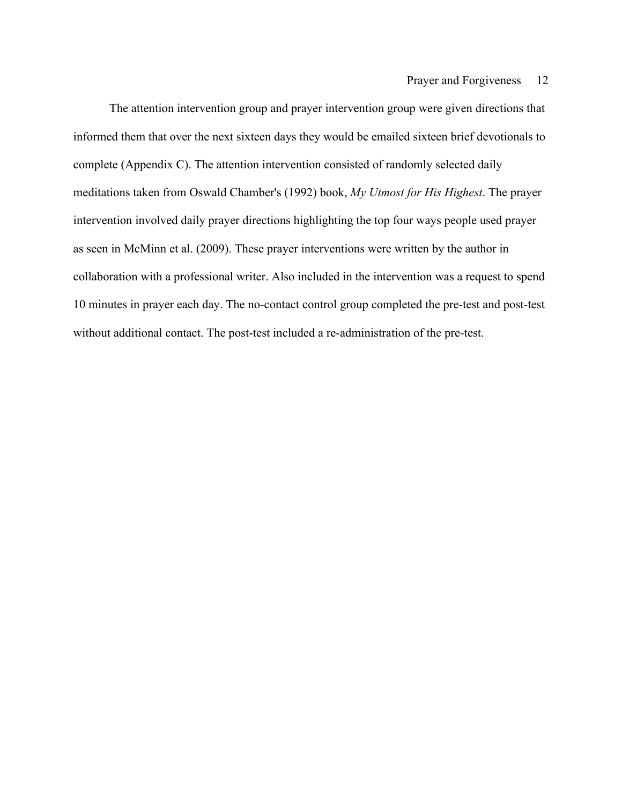The attention intervention group and prayer intervention group were given directions that informed them that over the next sixteen days they would be emailed sixteen brief devotionals to complete (Appendix C). The attention intervention consisted of randomly selected daily meditations taken from Oswald Chamber's (1992) book, *My Utmost for His Highest*. The prayer intervention involved daily prayer directions highlighting the top four ways people used prayer as seen in McMinn et al. (2009). These prayer interventions were written by the author in collaboration with a professional writer. Also included in the intervention was a request to spend 10 minutes in prayer each day. The no-contact control group completed the pre-test and post-test without additional contact. The post-test included a re-administration of the pre-test.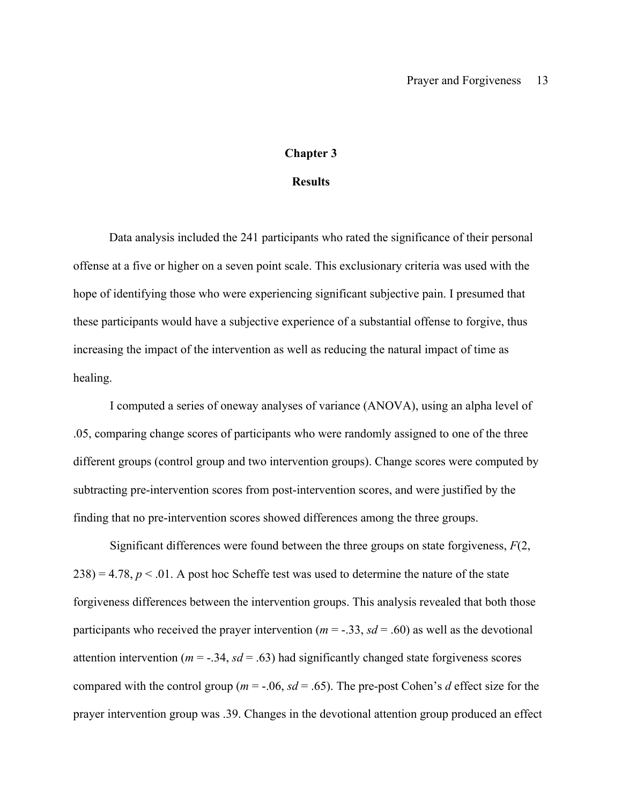#### **Chapter 3**

#### **Results**

Data analysis included the 241 participants who rated the significance of their personal offense at a five or higher on a seven point scale. This exclusionary criteria was used with the hope of identifying those who were experiencing significant subjective pain. I presumed that these participants would have a subjective experience of a substantial offense to forgive, thus increasing the impact of the intervention as well as reducing the natural impact of time as healing.

I computed a series of oneway analyses of variance (ANOVA), using an alpha level of .05, comparing change scores of participants who were randomly assigned to one of the three different groups (control group and two intervention groups). Change scores were computed by subtracting pre-intervention scores from post-intervention scores, and were justified by the finding that no pre-intervention scores showed differences among the three groups.

Significant differences were found between the three groups on state forgiveness, *F*(2,  $238$ ) = 4.78,  $p < 0.01$ . A post hoc Scheffe test was used to determine the nature of the state forgiveness differences between the intervention groups. This analysis revealed that both those participants who received the prayer intervention ( $m = -0.33$ ,  $sd = 0.60$ ) as well as the devotional attention intervention ( $m = -0.34$ ,  $sd = 0.63$ ) had significantly changed state forgiveness scores compared with the control group ( $m = -.06$ ,  $sd = .65$ ). The pre-post Cohen's *d* effect size for the prayer intervention group was .39. Changes in the devotional attention group produced an effect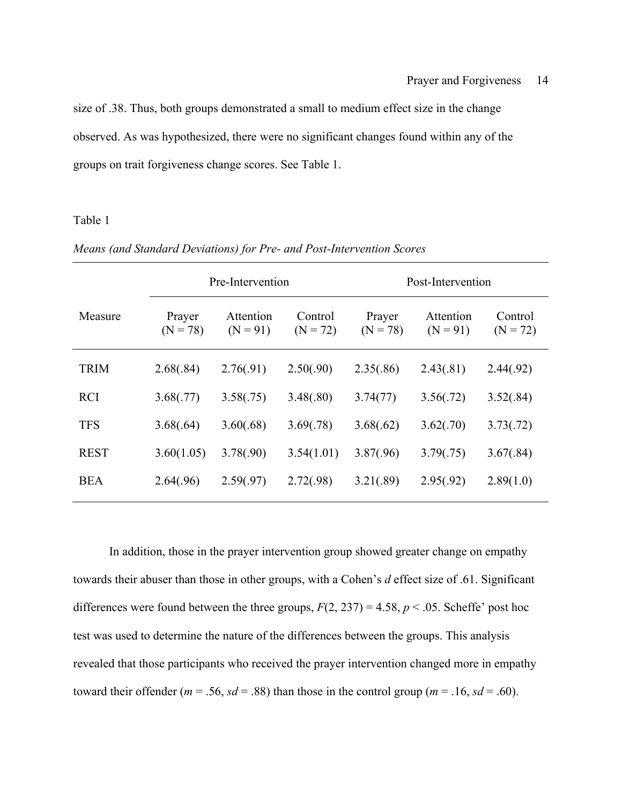size of .38. Thus, both groups demonstrated a small to medium effect size in the change observed. As was hypothesized, there were no significant changes found within any of the groups on trait forgiveness change scores. See Table 1.

### Table 1

|             | Pre-Intervention     |                         |                       | Post-Intervention    |                         |                       |
|-------------|----------------------|-------------------------|-----------------------|----------------------|-------------------------|-----------------------|
| Measure     | Prayer<br>$(N = 78)$ | Attention<br>$(N = 91)$ | Control<br>$(N = 72)$ | Prayer<br>$(N = 78)$ | Attention<br>$(N = 91)$ | Control<br>$(N = 72)$ |
| <b>TRIM</b> | 2.68(.84)            | 2.76(.91)               | 2.50(.90)             | 2.35(.86)            | 2.43(.81)               | 2.44(.92)             |
| <b>RCI</b>  | 3.68(.77)            | 3.58(.75)               | 3.48(.80)             | 3.74(77)             | 3.56(.72)               | 3.52(.84)             |
| <b>TFS</b>  | 3.68(.64)            | 3.60(.68)               | 3.69(.78)             | 3.68(.62)            | 3.62(.70)               | 3.73(.72)             |
| <b>REST</b> | 3.60(1.05)           | 3.78(.90)               | 3.54(1.01)            | 3.87(.96)            | 3.79(.75)               | 3.67(.84)             |
| <b>BEA</b>  | 2.64(.96)            | 2.59(.97)               | 2.72(.98)             | 3.21(.89)            | 2.95(.92)               | 2.89(1.0)             |

*Means (and Standard Deviations) for Pre- and Post-Intervention Scores*

In addition, those in the prayer intervention group showed greater change on empathy towards their abuser than those in other groups, with a Cohen's *d* effect size of .61. Significant differences were found between the three groups,  $F(2, 237) = 4.58$ ,  $p < .05$ . Scheffe' post hoc test was used to determine the nature of the differences between the groups. This analysis revealed that those participants who received the prayer intervention changed more in empathy toward their offender ( $m = .56$ ,  $sd = .88$ ) than those in the control group ( $m = .16$ ,  $sd = .60$ ).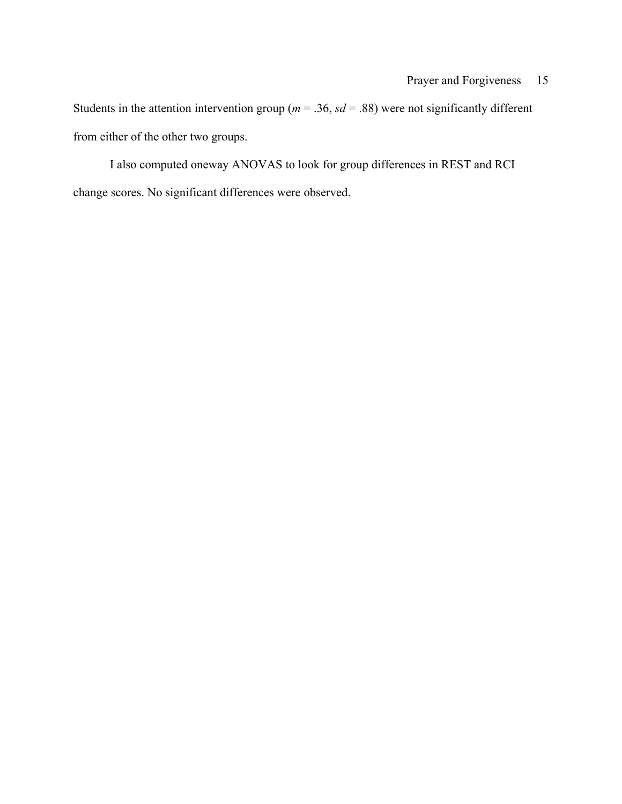Students in the attention intervention group ( $m = 0.36$ ,  $sd = 0.88$ ) were not significantly different from either of the other two groups.

I also computed oneway ANOVAS to look for group differences in REST and RCI change scores. No significant differences were observed.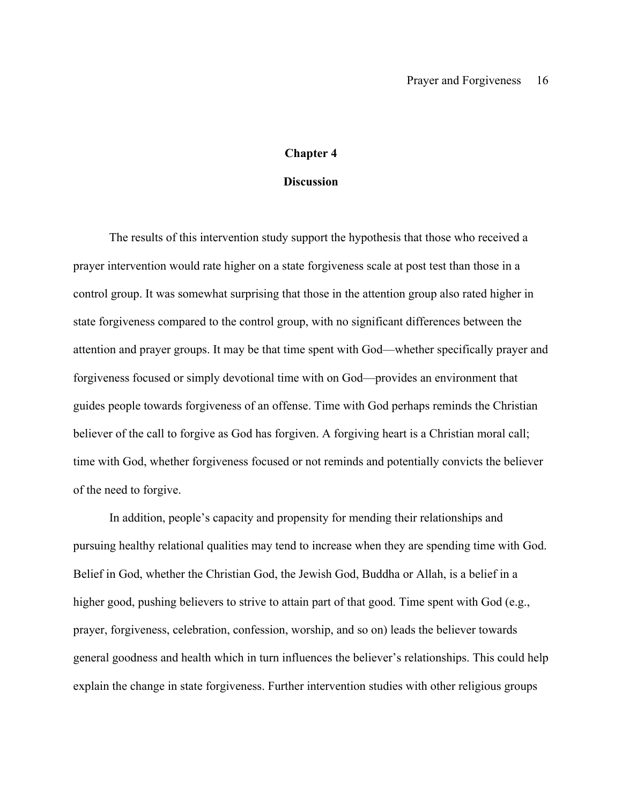#### **Chapter 4**

#### **Discussion**

The results of this intervention study support the hypothesis that those who received a prayer intervention would rate higher on a state forgiveness scale at post test than those in a control group. It was somewhat surprising that those in the attention group also rated higher in state forgiveness compared to the control group, with no significant differences between the attention and prayer groups. It may be that time spent with God—whether specifically prayer and forgiveness focused or simply devotional time with on God—provides an environment that guides people towards forgiveness of an offense. Time with God perhaps reminds the Christian believer of the call to forgive as God has forgiven. A forgiving heart is a Christian moral call; time with God, whether forgiveness focused or not reminds and potentially convicts the believer of the need to forgive.

In addition, people's capacity and propensity for mending their relationships and pursuing healthy relational qualities may tend to increase when they are spending time with God. Belief in God, whether the Christian God, the Jewish God, Buddha or Allah, is a belief in a higher good, pushing believers to strive to attain part of that good. Time spent with God (e.g., prayer, forgiveness, celebration, confession, worship, and so on) leads the believer towards general goodness and health which in turn influences the believer's relationships. This could help explain the change in state forgiveness. Further intervention studies with other religious groups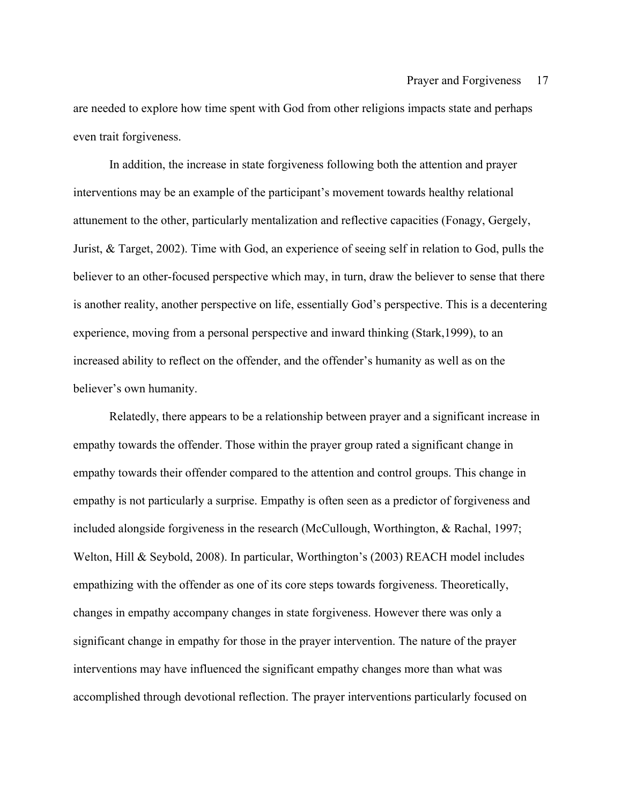are needed to explore how time spent with God from other religions impacts state and perhaps even trait forgiveness.

In addition, the increase in state forgiveness following both the attention and prayer interventions may be an example of the participant's movement towards healthy relational attunement to the other, particularly mentalization and reflective capacities (Fonagy, Gergely, Jurist, & Target, 2002). Time with God, an experience of seeing self in relation to God, pulls the believer to an other-focused perspective which may, in turn, draw the believer to sense that there is another reality, another perspective on life, essentially God's perspective. This is a decentering experience, moving from a personal perspective and inward thinking (Stark,1999), to an increased ability to reflect on the offender, and the offender's humanity as well as on the believer's own humanity.

Relatedly, there appears to be a relationship between prayer and a significant increase in empathy towards the offender. Those within the prayer group rated a significant change in empathy towards their offender compared to the attention and control groups. This change in empathy is not particularly a surprise. Empathy is often seen as a predictor of forgiveness and included alongside forgiveness in the research (McCullough, Worthington, & Rachal, 1997; Welton, Hill & Seybold, 2008). In particular, Worthington's (2003) REACH model includes empathizing with the offender as one of its core steps towards forgiveness. Theoretically, changes in empathy accompany changes in state forgiveness. However there was only a significant change in empathy for those in the prayer intervention. The nature of the prayer interventions may have influenced the significant empathy changes more than what was accomplished through devotional reflection. The prayer interventions particularly focused on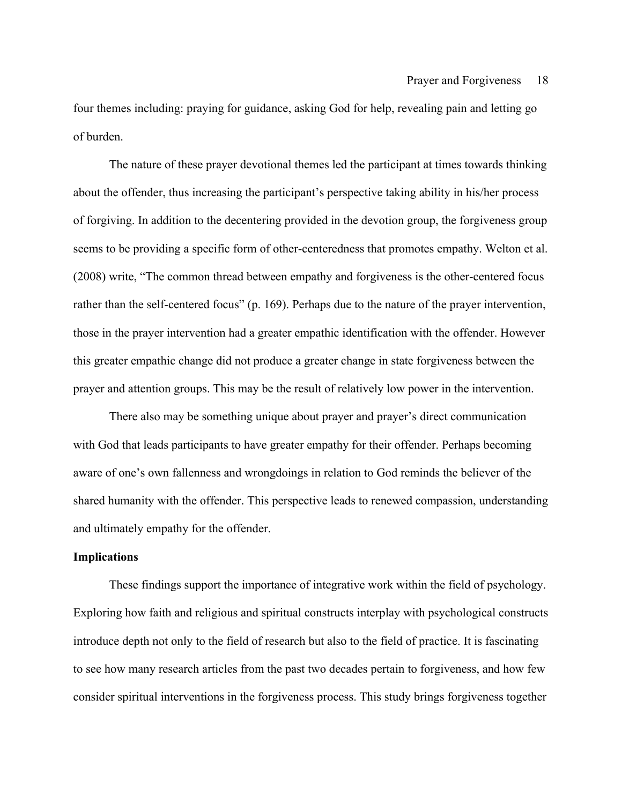four themes including: praying for guidance, asking God for help, revealing pain and letting go of burden.

The nature of these prayer devotional themes led the participant at times towards thinking about the offender, thus increasing the participant's perspective taking ability in his/her process of forgiving. In addition to the decentering provided in the devotion group, the forgiveness group seems to be providing a specific form of other-centeredness that promotes empathy. Welton et al. (2008) write, "The common thread between empathy and forgiveness is the other-centered focus rather than the self-centered focus" (p. 169). Perhaps due to the nature of the prayer intervention, those in the prayer intervention had a greater empathic identification with the offender. However this greater empathic change did not produce a greater change in state forgiveness between the prayer and attention groups. This may be the result of relatively low power in the intervention.

There also may be something unique about prayer and prayer's direct communication with God that leads participants to have greater empathy for their offender. Perhaps becoming aware of one's own fallenness and wrongdoings in relation to God reminds the believer of the shared humanity with the offender. This perspective leads to renewed compassion, understanding and ultimately empathy for the offender.

#### **Implications**

These findings support the importance of integrative work within the field of psychology. Exploring how faith and religious and spiritual constructs interplay with psychological constructs introduce depth not only to the field of research but also to the field of practice. It is fascinating to see how many research articles from the past two decades pertain to forgiveness, and how few consider spiritual interventions in the forgiveness process. This study brings forgiveness together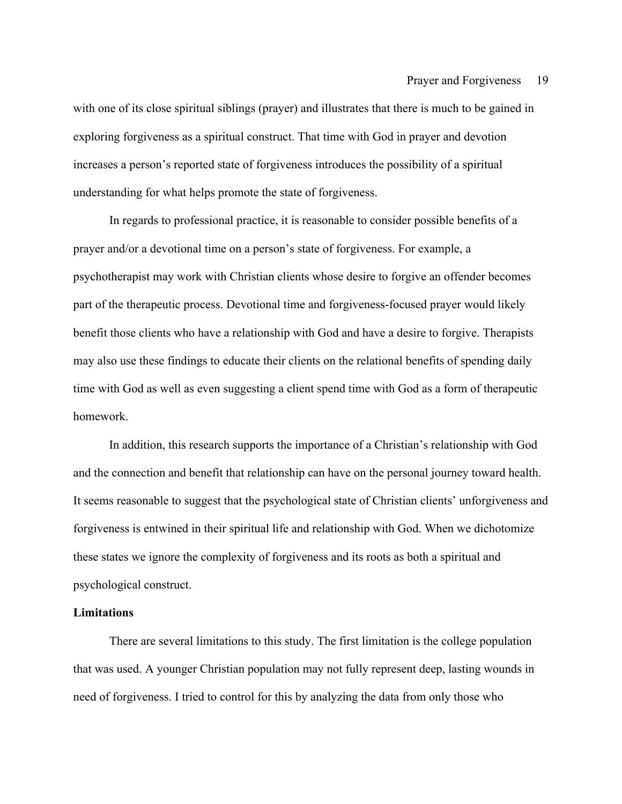with one of its close spiritual siblings (prayer) and illustrates that there is much to be gained in exploring forgiveness as a spiritual construct. That time with God in prayer and devotion increases a person's reported state of forgiveness introduces the possibility of a spiritual understanding for what helps promote the state of forgiveness.

In regards to professional practice, it is reasonable to consider possible benefits of a prayer and/or a devotional time on a person's state of forgiveness. For example, a psychotherapist may work with Christian clients whose desire to forgive an offender becomes part of the therapeutic process. Devotional time and forgiveness-focused prayer would likely benefit those clients who have a relationship with God and have a desire to forgive. Therapists may also use these findings to educate their clients on the relational benefits of spending daily time with God as well as even suggesting a client spend time with God as a form of therapeutic homework.

In addition, this research supports the importance of a Christian's relationship with God and the connection and benefit that relationship can have on the personal journey toward health. It seems reasonable to suggest that the psychological state of Christian clients' unforgiveness and forgiveness is entwined in their spiritual life and relationship with God. When we dichotomize these states we ignore the complexity of forgiveness and its roots as both a spiritual and psychological construct.

#### **Limitations**

There are several limitations to this study. The first limitation is the college population that was used. A younger Christian population may not fully represent deep, lasting wounds in need of forgiveness. I tried to control for this by analyzing the data from only those who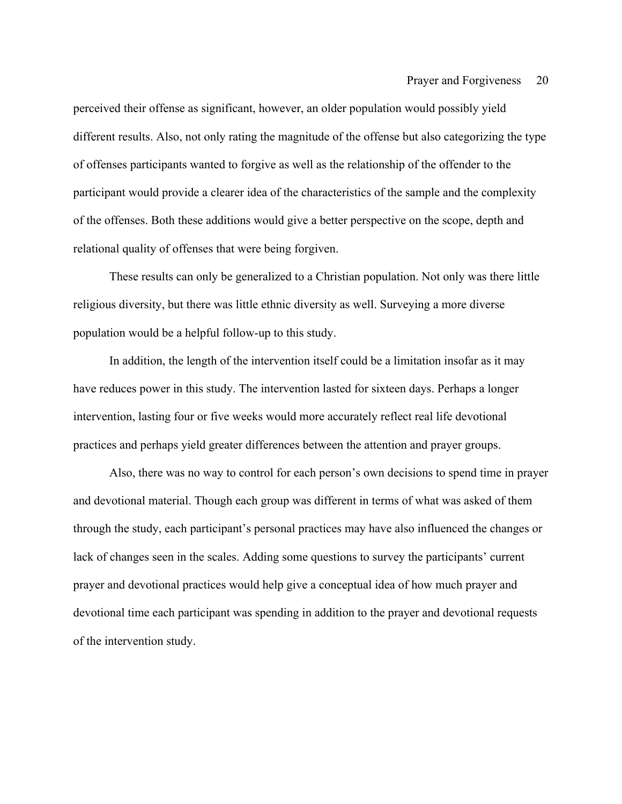perceived their offense as significant, however, an older population would possibly yield different results. Also, not only rating the magnitude of the offense but also categorizing the type of offenses participants wanted to forgive as well as the relationship of the offender to the participant would provide a clearer idea of the characteristics of the sample and the complexity of the offenses. Both these additions would give a better perspective on the scope, depth and relational quality of offenses that were being forgiven.

These results can only be generalized to a Christian population. Not only was there little religious diversity, but there was little ethnic diversity as well. Surveying a more diverse population would be a helpful follow-up to this study.

In addition, the length of the intervention itself could be a limitation insofar as it may have reduces power in this study. The intervention lasted for sixteen days. Perhaps a longer intervention, lasting four or five weeks would more accurately reflect real life devotional practices and perhaps yield greater differences between the attention and prayer groups.

Also, there was no way to control for each person's own decisions to spend time in prayer and devotional material. Though each group was different in terms of what was asked of them through the study, each participant's personal practices may have also influenced the changes or lack of changes seen in the scales. Adding some questions to survey the participants' current prayer and devotional practices would help give a conceptual idea of how much prayer and devotional time each participant was spending in addition to the prayer and devotional requests of the intervention study.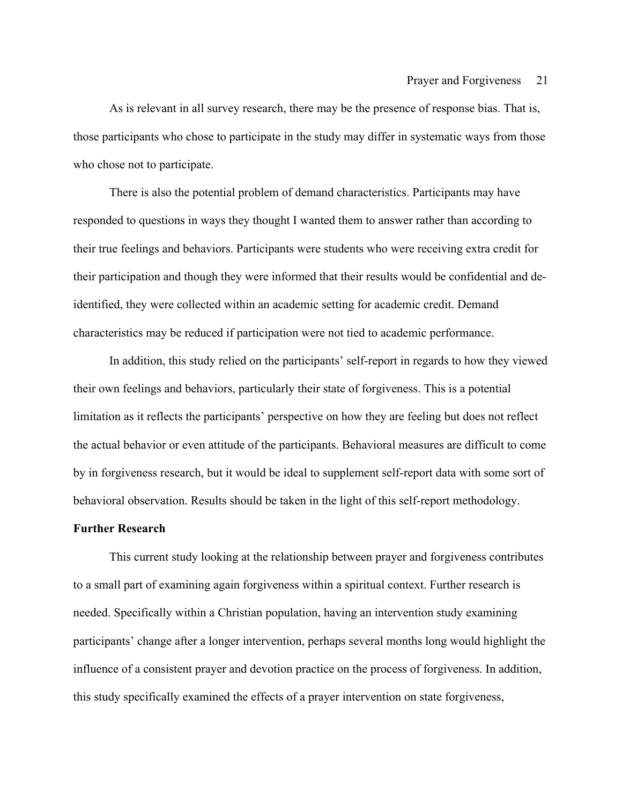As is relevant in all survey research, there may be the presence of response bias. That is, those participants who chose to participate in the study may differ in systematic ways from those who chose not to participate.

There is also the potential problem of demand characteristics. Participants may have responded to questions in ways they thought I wanted them to answer rather than according to their true feelings and behaviors. Participants were students who were receiving extra credit for their participation and though they were informed that their results would be confidential and deidentified, they were collected within an academic setting for academic credit. Demand characteristics may be reduced if participation were not tied to academic performance.

In addition, this study relied on the participants' self-report in regards to how they viewed their own feelings and behaviors, particularly their state of forgiveness. This is a potential limitation as it reflects the participants' perspective on how they are feeling but does not reflect the actual behavior or even attitude of the participants. Behavioral measures are difficult to come by in forgiveness research, but it would be ideal to supplement self-report data with some sort of behavioral observation. Results should be taken in the light of this self-report methodology.

#### **Further Research**

This current study looking at the relationship between prayer and forgiveness contributes to a small part of examining again forgiveness within a spiritual context. Further research is needed. Specifically within a Christian population, having an intervention study examining participants' change after a longer intervention, perhaps several months long would highlight the influence of a consistent prayer and devotion practice on the process of forgiveness. In addition, this study specifically examined the effects of a prayer intervention on state forgiveness,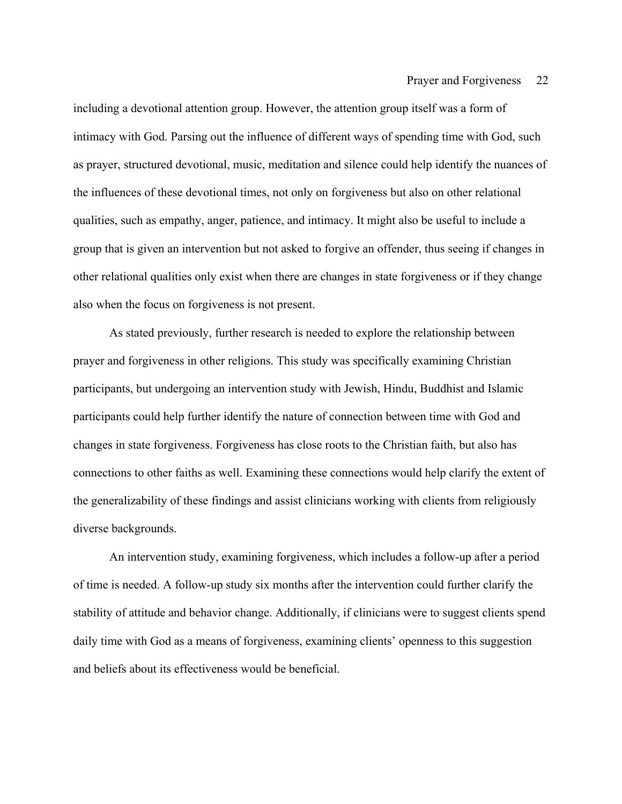including a devotional attention group. However, the attention group itself was a form of intimacy with God. Parsing out the influence of different ways of spending time with God, such as prayer, structured devotional, music, meditation and silence could help identify the nuances of the influences of these devotional times, not only on forgiveness but also on other relational qualities, such as empathy, anger, patience, and intimacy. It might also be useful to include a group that is given an intervention but not asked to forgive an offender, thus seeing if changes in other relational qualities only exist when there are changes in state forgiveness or if they change also when the focus on forgiveness is not present.

As stated previously, further research is needed to explore the relationship between prayer and forgiveness in other religions. This study was specifically examining Christian participants, but undergoing an intervention study with Jewish, Hindu, Buddhist and Islamic participants could help further identify the nature of connection between time with God and changes in state forgiveness. Forgiveness has close roots to the Christian faith, but also has connections to other faiths as well. Examining these connections would help clarify the extent of the generalizability of these findings and assist clinicians working with clients from religiously diverse backgrounds.

An intervention study, examining forgiveness, which includes a follow-up after a period of time is needed. A follow-up study six months after the intervention could further clarify the stability of attitude and behavior change. Additionally, if clinicians were to suggest clients spend daily time with God as a means of forgiveness, examining clients' openness to this suggestion and beliefs about its effectiveness would be beneficial.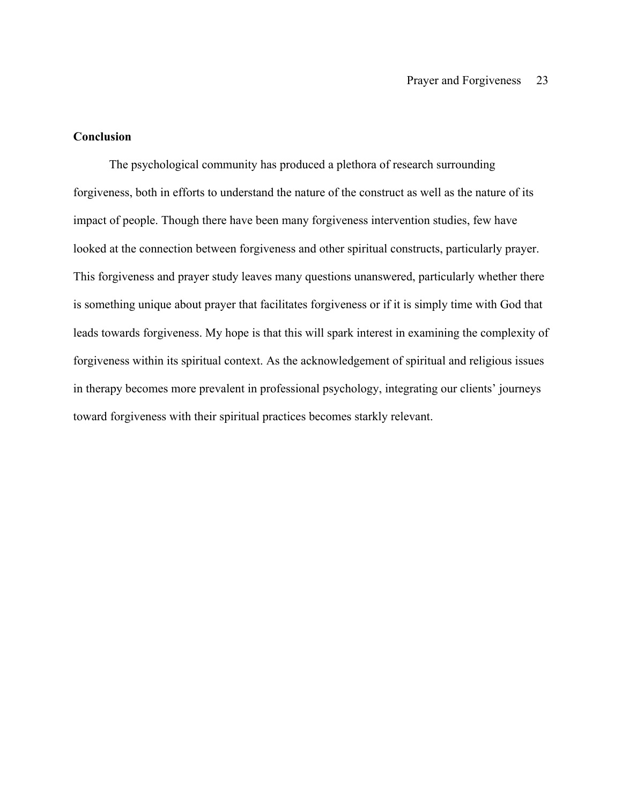### **Conclusion**

The psychological community has produced a plethora of research surrounding forgiveness, both in efforts to understand the nature of the construct as well as the nature of its impact of people. Though there have been many forgiveness intervention studies, few have looked at the connection between forgiveness and other spiritual constructs, particularly prayer. This forgiveness and prayer study leaves many questions unanswered, particularly whether there is something unique about prayer that facilitates forgiveness or if it is simply time with God that leads towards forgiveness. My hope is that this will spark interest in examining the complexity of forgiveness within its spiritual context. As the acknowledgement of spiritual and religious issues in therapy becomes more prevalent in professional psychology, integrating our clients' journeys toward forgiveness with their spiritual practices becomes starkly relevant.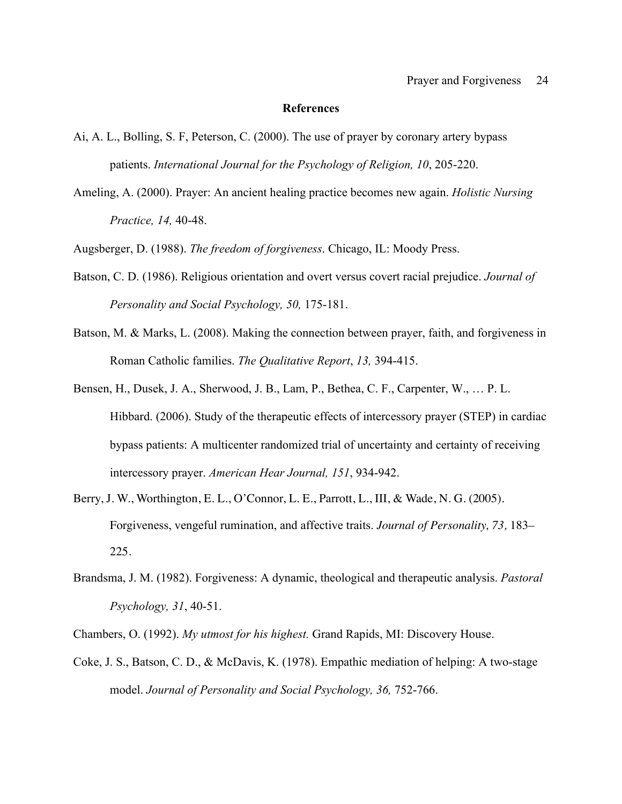#### **References**

- Ai, A. L., Bolling, S. F, Peterson, C. (2000). The use of prayer by coronary artery bypass patients. *International Journal for the Psychology of Religion, 10*, 205-220.
- Ameling, A. (2000). Prayer: An ancient healing practice becomes new again. *Holistic Nursing Practice, 14,* 40-48.

Augsberger, D. (1988). *The freedom of forgiveness*. Chicago, IL: Moody Press.

- Batson, C. D. (1986). Religious orientation and overt versus covert racial prejudice. *Journal of Personality and Social Psychology, 50,* 175-181.
- Batson, M. & Marks, L. (2008). Making the connection between prayer, faith, and forgiveness in Roman Catholic families. *The Qualitative Report*, *13,* 394-415.
- Bensen, H., Dusek, J. A., Sherwood, J. B., Lam, P., Bethea, C. F., Carpenter, W., … P. L. Hibbard. (2006). Study of the therapeutic effects of intercessory prayer (STEP) in cardiac bypass patients: A multicenter randomized trial of uncertainty and certainty of receiving intercessory prayer. *American Hear Journal, 151*, 934-942.
- Berry, J. W., Worthington, E. L., O'Connor, L. E., Parrott, L., III, & Wade, N. G. (2005). Forgiveness, vengeful rumination, and affective traits. *Journal of Personality, 73,* 183– 225.
- Brandsma, J. M. (1982). Forgiveness: A dynamic, theological and therapeutic analysis. *Pastoral Psychology, 31*, 40-51.

Chambers, O. (1992). *My utmost for his highest.* Grand Rapids, MI: Discovery House.

Coke, J. S., Batson, C. D., & McDavis, K. (1978). Empathic mediation of helping: A two-stage model. *Journal of Personality and Social Psychology, 36, 752-766.*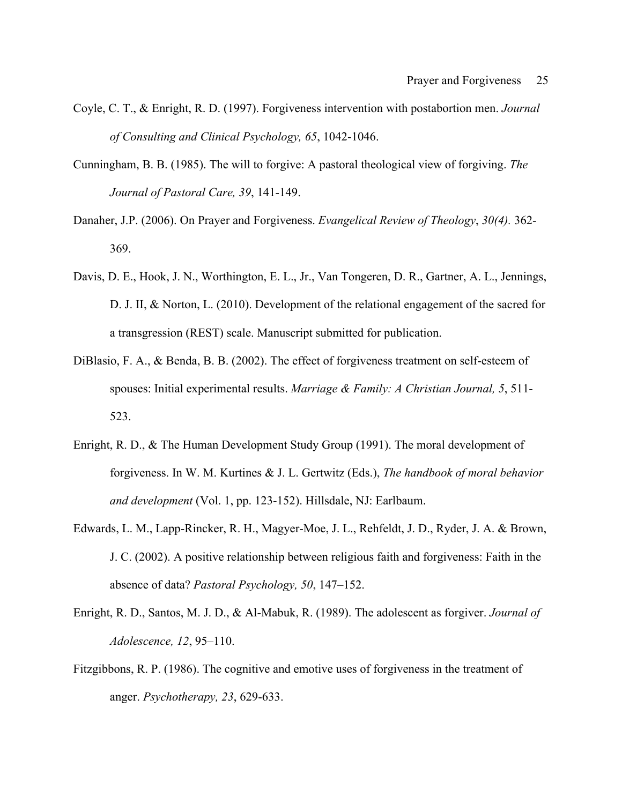- Coyle, C. T., & Enright, R. D. (1997). Forgiveness intervention with postabortion men. *Journal of Consulting and Clinical Psychology, 65*, 1042-1046.
- Cunningham, B. B. (1985). The will to forgive: A pastoral theological view of forgiving. *The Journal of Pastoral Care, 39*, 141-149.
- Danaher, J.P. (2006). On Prayer and Forgiveness. *Evangelical Review of Theology*, *30(4).* 362- 369.
- Davis, D. E., Hook, J. N., Worthington, E. L., Jr., Van Tongeren, D. R., Gartner, A. L., Jennings, D. J. II, & Norton, L. (2010). Development of the relational engagement of the sacred for a transgression (REST) scale. Manuscript submitted for publication.
- DiBlasio, F. A., & Benda, B. B. (2002). The effect of forgiveness treatment on self-esteem of spouses: Initial experimental results. *Marriage & Family: A Christian Journal, 5*, 511- 523.
- Enright, R. D., & The Human Development Study Group (1991). The moral development of forgiveness. In W. M. Kurtines & J. L. Gertwitz (Eds.), *The handbook of moral behavior and development* (Vol. 1, pp. 123-152). Hillsdale, NJ: Earlbaum.
- Edwards, L. M., Lapp-Rincker, R. H., Magyer-Moe, J. L., Rehfeldt, J. D., Ryder, J. A. & Brown, J. C. (2002). A positive relationship between religious faith and forgiveness: Faith in the absence of data? *Pastoral Psychology, 50*, 147–152.
- Enright, R. D., Santos, M. J. D., & Al-Mabuk, R. (1989). The adolescent as forgiver. *Journal of Adolescence, 12*, 95–110.
- Fitzgibbons, R. P. (1986). The cognitive and emotive uses of forgiveness in the treatment of anger. *Psychotherapy, 23*, 629-633.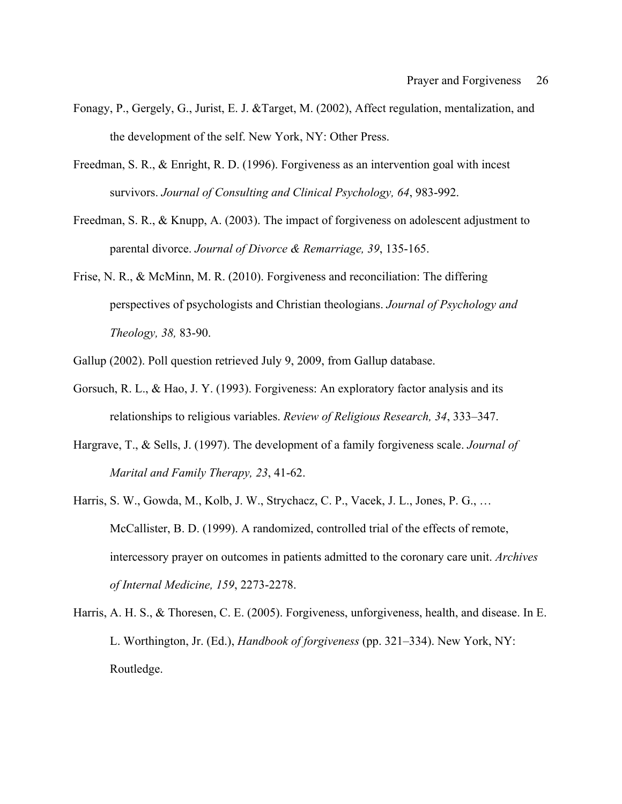- Fonagy, P., Gergely, G., Jurist, E. J. &Target, M. (2002), Affect regulation, mentalization, and the development of the self. New York, NY: Other Press.
- Freedman, S. R., & Enright, R. D. (1996). Forgiveness as an intervention goal with incest survivors. *Journal of Consulting and Clinical Psychology, 64*, 983-992.
- Freedman, S. R., & Knupp, A. (2003). The impact of forgiveness on adolescent adjustment to parental divorce. *Journal of Divorce & Remarriage, 39*, 135-165.
- Frise, N. R., & McMinn, M. R. (2010). Forgiveness and reconciliation: The differing perspectives of psychologists and Christian theologians. *Journal of Psychology and Theology, 38,* 83-90.
- Gallup (2002). Poll question retrieved July 9, 2009, from Gallup database.
- Gorsuch, R. L., & Hao, J. Y. (1993). Forgiveness: An exploratory factor analysis and its relationships to religious variables. *Review of Religious Research, 34*, 333–347.
- Hargrave, T., & Sells, J. (1997). The development of a family forgiveness scale. *Journal of Marital and Family Therapy, 23*, 41-62.
- Harris, S. W., Gowda, M., Kolb, J. W., Strychacz, C. P., Vacek, J. L., Jones, P. G., … McCallister, B. D. (1999). A randomized, controlled trial of the effects of remote, intercessory prayer on outcomes in patients admitted to the coronary care unit. *Archives of Internal Medicine, 159*, 2273-2278.
- Harris, A. H. S., & Thoresen, C. E. (2005). Forgiveness, unforgiveness, health, and disease. In E. L. Worthington, Jr. (Ed.), *Handbook of forgiveness* (pp. 321–334). New York, NY: Routledge.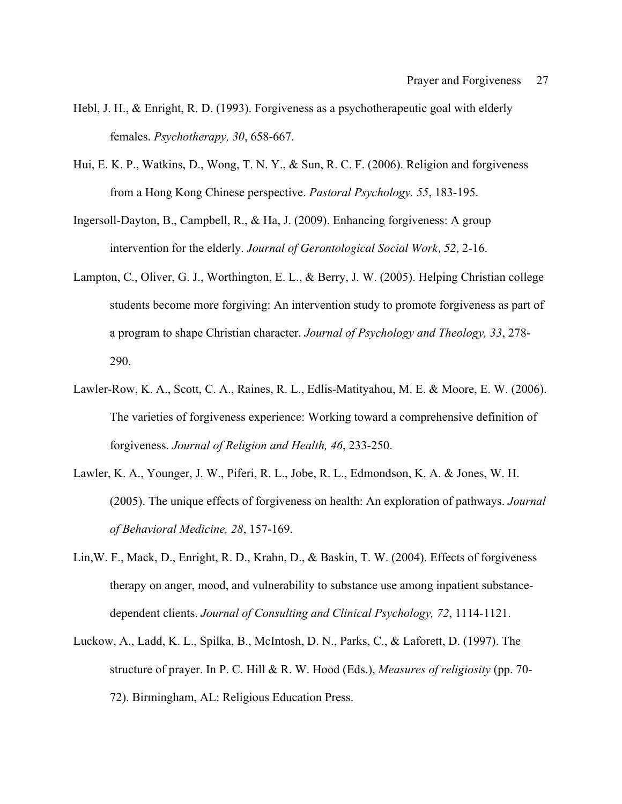- Hebl, J. H., & Enright, R. D. (1993). Forgiveness as a psychotherapeutic goal with elderly females. *Psychotherapy, 30*, 658-667.
- Hui, E. K. P., Watkins, D., Wong, T. N. Y., & Sun, R. C. F. (2006). Religion and forgiveness from a Hong Kong Chinese perspective. *Pastoral Psychology. 55*, 183-195.
- Ingersoll-Dayton, B., Campbell, R., & Ha, J. (2009). Enhancing forgiveness: A group intervention for the elderly. *Journal of Gerontological Social Work, 52,* 2-16.
- Lampton, C., Oliver, G. J., Worthington, E. L., & Berry, J. W. (2005). Helping Christian college students become more forgiving: An intervention study to promote forgiveness as part of a program to shape Christian character. *Journal of Psychology and Theology, 33*, 278- 290.
- Lawler-Row, K. A., Scott, C. A., Raines, R. L., Edlis-Matityahou, M. E. & Moore, E. W. (2006). The varieties of forgiveness experience: Working toward a comprehensive definition of forgiveness. *Journal of Religion and Health, 46*, 233-250.
- Lawler, K. A., Younger, J. W., Piferi, R. L., Jobe, R. L., Edmondson, K. A. & Jones, W. H. (2005). The unique effects of forgiveness on health: An exploration of pathways. *Journal of Behavioral Medicine, 28*, 157-169.
- Lin,W. F., Mack, D., Enright, R. D., Krahn, D., & Baskin, T. W. (2004). Effects of forgiveness therapy on anger, mood, and vulnerability to substance use among inpatient substancedependent clients. *Journal of Consulting and Clinical Psychology, 72*, 1114-1121.
- Luckow, A., Ladd, K. L., Spilka, B., McIntosh, D. N., Parks, C., & Laforett, D. (1997). The structure of prayer. In P. C. Hill & R. W. Hood (Eds.), *Measures of religiosity* (pp. 70- 72). Birmingham, AL: Religious Education Press.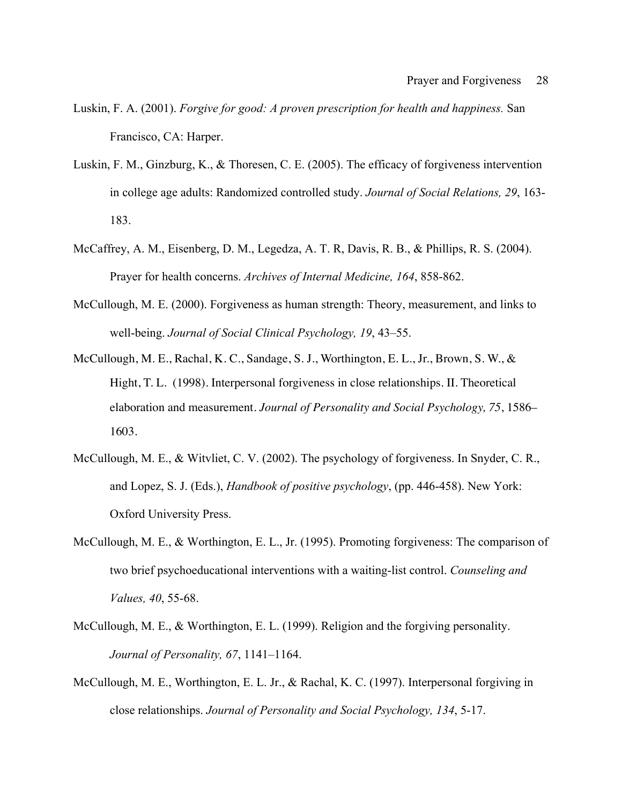- Luskin, F. A. (2001). *Forgive for good: A proven prescription for health and happiness.* San Francisco, CA: Harper.
- Luskin, F. M., Ginzburg, K., & Thoresen, C. E. (2005). The efficacy of forgiveness intervention in college age adults: Randomized controlled study. *Journal of Social Relations, 29*, 163- 183.
- McCaffrey, A. M., Eisenberg, D. M., Legedza, A. T. R, Davis, R. B., & Phillips, R. S. (2004). Prayer for health concerns. *Archives of Internal Medicine, 164*, 858-862.
- McCullough, M. E. (2000). Forgiveness as human strength: Theory, measurement, and links to well-being. *Journal of Social Clinical Psychology, 19*, 43–55.
- McCullough, M. E., Rachal, K. C., Sandage, S. J., Worthington, E. L., Jr., Brown, S. W., & Hight, T. L. (1998). Interpersonal forgiveness in close relationships. II. Theoretical elaboration and measurement. *Journal of Personality and Social Psychology, 75*, 1586– 1603.
- McCullough, M. E., & Witvliet, C. V. (2002). The psychology of forgiveness. In Snyder, C. R., and Lopez, S. J. (Eds.), *Handbook of positive psychology*, (pp. 446-458). New York: Oxford University Press.
- McCullough, M. E., & Worthington, E. L., Jr. (1995). Promoting forgiveness: The comparison of two brief psychoeducational interventions with a waiting-list control. *Counseling and Values, 40*, 55-68.
- McCullough, M. E., & Worthington, E. L. (1999). Religion and the forgiving personality. *Journal of Personality, 67*, 1141–1164.
- McCullough, M. E., Worthington, E. L. Jr., & Rachal, K. C. (1997). Interpersonal forgiving in close relationships. *Journal of Personality and Social Psychology, 134*, 5-17.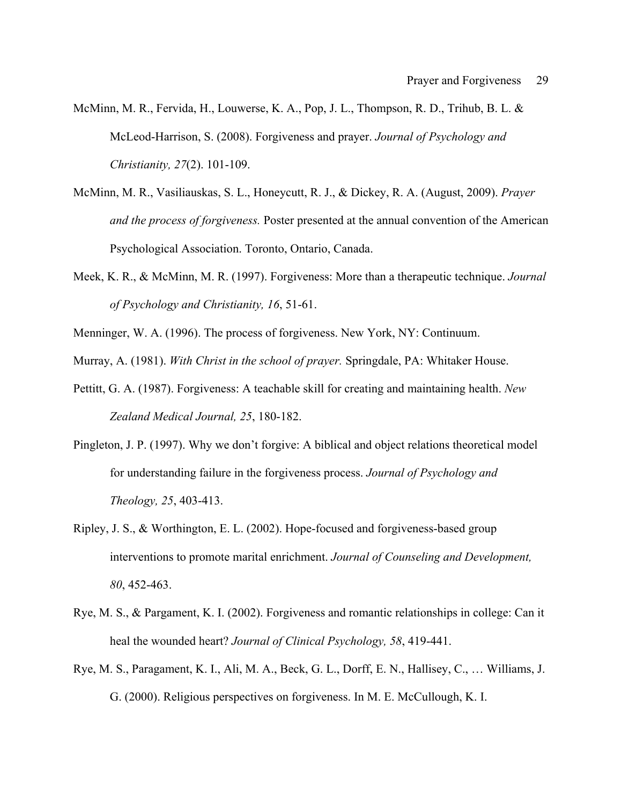- McMinn, M. R., Fervida, H., Louwerse, K. A., Pop, J. L., Thompson, R. D., Trihub, B. L. & McLeod-Harrison, S. (2008). Forgiveness and prayer. *Journal of Psychology and Christianity, 27*(2). 101-109.
- McMinn, M. R., Vasiliauskas, S. L., Honeycutt, R. J., & Dickey, R. A. (August, 2009). *Prayer and the process of forgiveness.* Poster presented at the annual convention of the American Psychological Association. Toronto, Ontario, Canada.
- Meek, K. R., & McMinn, M. R. (1997). Forgiveness: More than a therapeutic technique. *Journal of Psychology and Christianity, 16*, 51-61.
- Menninger, W. A. (1996). The process of forgiveness. New York, NY: Continuum.

Murray, A. (1981). *With Christ in the school of prayer.* Springdale, PA: Whitaker House.

- Pettitt, G. A. (1987). Forgiveness: A teachable skill for creating and maintaining health. *New Zealand Medical Journal, 25*, 180-182.
- Pingleton, J. P. (1997). Why we don't forgive: A biblical and object relations theoretical model for understanding failure in the forgiveness process. *Journal of Psychology and Theology, 25*, 403-413.
- Ripley, J. S., & Worthington, E. L. (2002). Hope-focused and forgiveness-based group interventions to promote marital enrichment. *Journal of Counseling and Development, 80*, 452-463.
- Rye, M. S., & Pargament, K. I. (2002). Forgiveness and romantic relationships in college: Can it heal the wounded heart? *Journal of Clinical Psychology, 58*, 419-441.
- Rye, M. S., Paragament, K. I., Ali, M. A., Beck, G. L., Dorff, E. N., Hallisey, C., … Williams, J. G. (2000). Religious perspectives on forgiveness. In M. E. McCullough, K. I.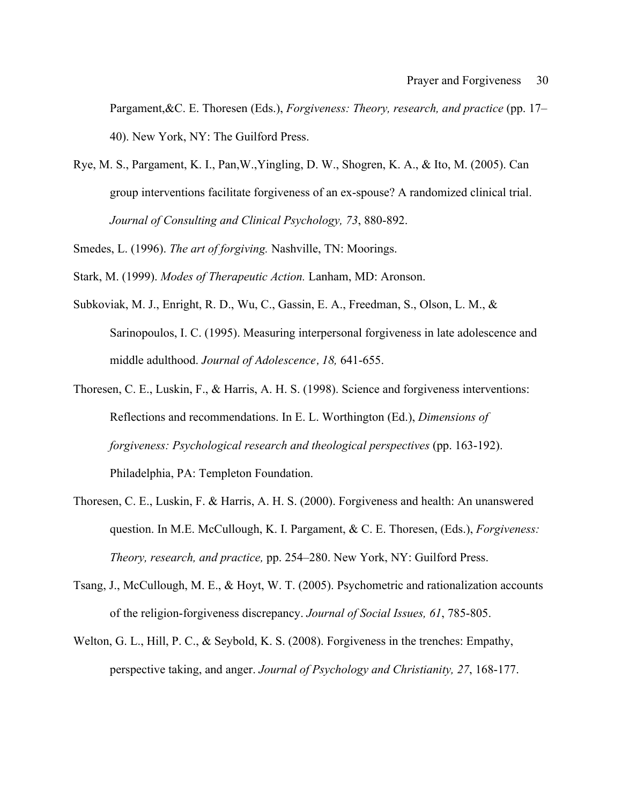Pargament,&C. E. Thoresen (Eds.), *Forgiveness: Theory, research, and practice* (pp. 17– 40). New York, NY: The Guilford Press.

Rye, M. S., Pargament, K. I., Pan,W.,Yingling, D. W., Shogren, K. A., & Ito, M. (2005). Can group interventions facilitate forgiveness of an ex-spouse? A randomized clinical trial. *Journal of Consulting and Clinical Psychology, 73*, 880-892.

Smedes, L. (1996). *The art of forgiving.* Nashville, TN: Moorings.

Stark, M. (1999). *Modes of Therapeutic Action.* Lanham, MD: Aronson.

- Subkoviak, M. J., Enright, R. D., Wu, C., Gassin, E. A., Freedman, S., Olson, L. M., & Sarinopoulos, I. C. (1995). Measuring interpersonal forgiveness in late adolescence and middle adulthood. *Journal of Adolescence, 18,* 641-655.
- Thoresen, C. E., Luskin, F., & Harris, A. H. S. (1998). Science and forgiveness interventions: Reflections and recommendations. In E. L. Worthington (Ed.), *Dimensions of forgiveness: Psychological research and theological perspectives* (pp. 163-192). Philadelphia, PA: Templeton Foundation.
- Thoresen, C. E., Luskin, F. & Harris, A. H. S. (2000). Forgiveness and health: An unanswered question. In M.E. McCullough, K. I. Pargament, & C. E. Thoresen, (Eds.), *Forgiveness: Theory, research, and practice,* pp. 254–280. New York, NY: Guilford Press.
- Tsang, J., McCullough, M. E., & Hoyt, W. T. (2005). Psychometric and rationalization accounts of the religion-forgiveness discrepancy. *Journal of Social Issues, 61*, 785-805.
- Welton, G. L., Hill, P. C., & Seybold, K. S. (2008). Forgiveness in the trenches: Empathy, perspective taking, and anger. *Journal of Psychology and Christianity, 27*, 168-177.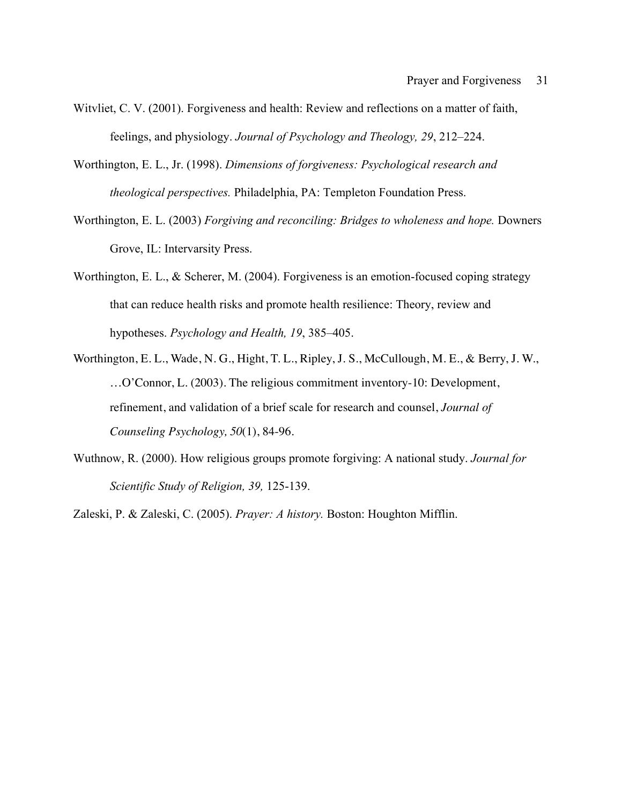- Witvliet, C. V. (2001). Forgiveness and health: Review and reflections on a matter of faith, feelings, and physiology. *Journal of Psychology and Theology, 29*, 212–224.
- Worthington, E. L., Jr. (1998). *Dimensions of forgiveness: Psychological research and theological perspectives.* Philadelphia, PA: Templeton Foundation Press.
- Worthington, E. L. (2003) *Forgiving and reconciling: Bridges to wholeness and hope.* Downers Grove, IL: Intervarsity Press.
- Worthington, E. L., & Scherer, M. (2004). Forgiveness is an emotion-focused coping strategy that can reduce health risks and promote health resilience: Theory, review and hypotheses. *Psychology and Health, 19*, 385–405.
- Worthington, E. L., Wade, N. G., Hight, T. L., Ripley, J. S., McCullough, M. E., & Berry, J. W., …O'Connor, L. (2003). The religious commitment inventory-10: Development, refinement, and validation of a brief scale for research and counsel, *Journal of Counseling Psychology, 50*(1), 84-96.
- Wuthnow, R. (2000). How religious groups promote forgiving: A national study. *Journal for Scientific Study of Religion, 39,* 125-139.

Zaleski, P. & Zaleski, C. (2005). *Prayer: A history.* Boston: Houghton Mifflin.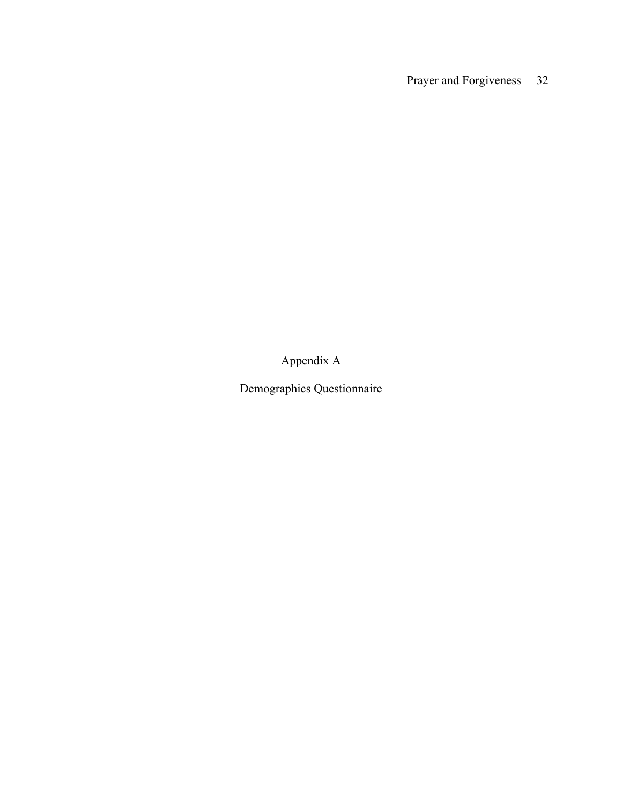Appendix A

Demographics Questionnaire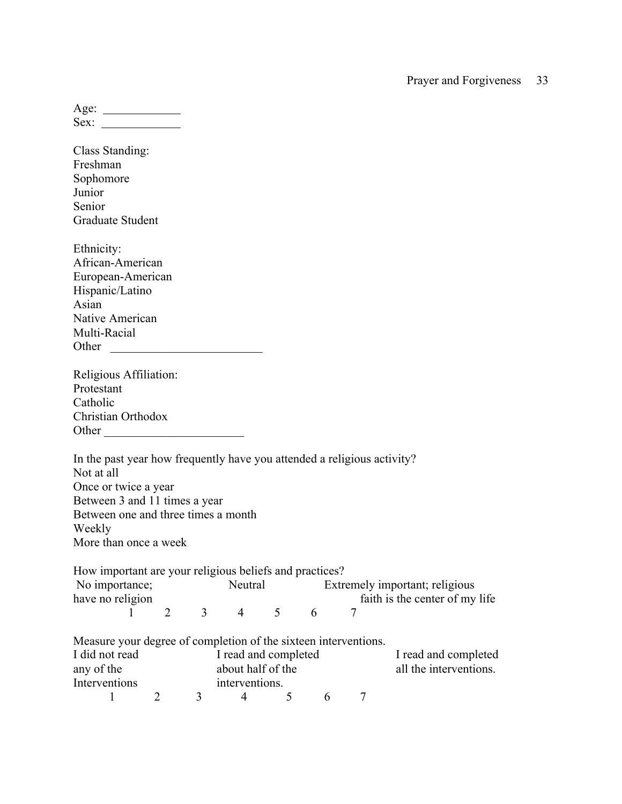| Age: |  |
|------|--|
| Sex  |  |

Class Standing: Freshman Sophomore Junior Senior Graduate Student Ethnicity: African-American European-American Hispanic/Latino Asian Native American Multi-Racial Other \_\_\_\_\_\_\_\_\_\_\_\_\_\_\_\_\_\_\_\_\_\_\_\_\_ Religious Affiliation: Protestant Catholic Christian Orthodox Other \_\_\_\_\_\_\_\_\_\_\_\_\_\_\_\_\_\_\_\_\_\_\_ In the past year how frequently have you attended a religious activity? Not at all Once or twice a year Between 3 and 11 times a year Between one and three times a month Weekly More than once a week How important are your religious beliefs and practices? No importance; Neutral Extremely important; religious have no religion faith is the center of my life 1 2 3 4 5 6 7 Measure your degree of completion of the sixteen interventions.<br>I did not read I read and completed I read and completed I read and completed

| any of the<br>Interventions |  | about half of the<br>interventions. |  |  | all the interventions. |
|-----------------------------|--|-------------------------------------|--|--|------------------------|
|                             |  |                                     |  |  |                        |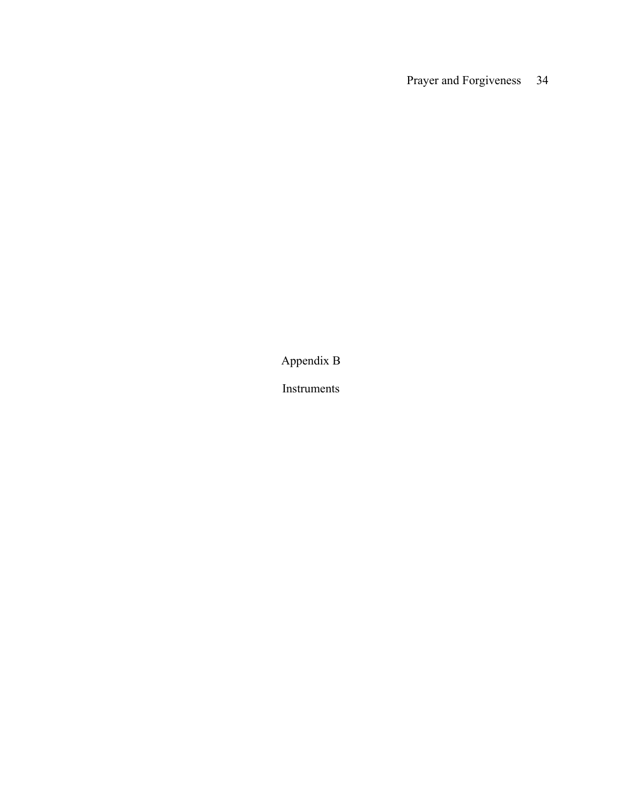Appendix B

Instruments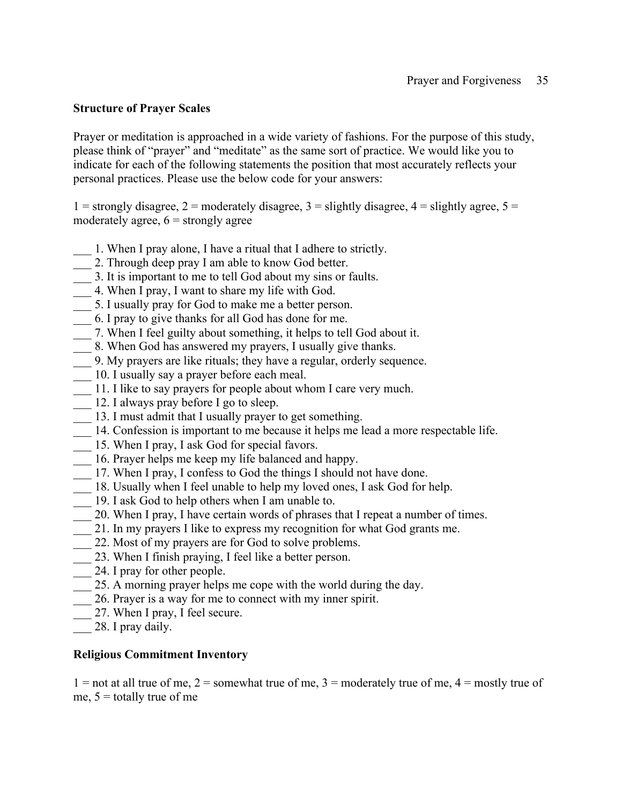### **Structure of Prayer Scales**

Prayer or meditation is approached in a wide variety of fashions. For the purpose of this study, please think of "prayer" and "meditate" as the same sort of practice. We would like you to indicate for each of the following statements the position that most accurately reflects your personal practices. Please use the below code for your answers:

1 = strongly disagree, 2 = moderately disagree, 3 = slightly disagree, 4 = slightly agree,  $5 =$ moderately agree,  $6 =$  strongly agree

- \_\_\_ 1. When I pray alone, I have a ritual that I adhere to strictly.
- 2. Through deep pray I am able to know God better.
- \_\_\_ 3. It is important to me to tell God about my sins or faults.
- \_\_\_ 4. When I pray, I want to share my life with God.
- \_\_\_ 5. I usually pray for God to make me a better person.
- \_\_\_ 6. I pray to give thanks for all God has done for me.
- \_\_\_ 7. When I feel guilty about something, it helps to tell God about it.
- 8. When God has answered my prayers, I usually give thanks.
- \_\_\_ 9. My prayers are like rituals; they have a regular, orderly sequence.
- \_\_\_ 10. I usually say a prayer before each meal.
- \_\_\_ 11. I like to say prayers for people about whom I care very much.
- 12. I always pray before I go to sleep.
- \_\_\_ 13. I must admit that I usually prayer to get something.
- \_\_\_ 14. Confession is important to me because it helps me lead a more respectable life.
- 15. When I pray, I ask God for special favors.
- \_\_\_ 16. Prayer helps me keep my life balanced and happy.
- \_\_\_ 17. When I pray, I confess to God the things I should not have done.
- 18. Usually when I feel unable to help my loved ones, I ask God for help.
- $\frac{1}{\sqrt{2}}$  19. I ask God to help others when I am unable to.
- \_\_\_ 20. When I pray, I have certain words of phrases that I repeat a number of times.
- \_\_\_ 21. In my prayers I like to express my recognition for what God grants me.
- \_\_\_ 22. Most of my prayers are for God to solve problems.
- 23. When I finish praying, I feel like a better person.
- $\frac{1}{24}$ . I pray for other people.
- \_\_\_ 25. A morning prayer helps me cope with the world during the day.
- \_\_\_ 26. Prayer is a way for me to connect with my inner spirit.
- 27. When I pray, I feel secure.
- 28. I pray daily.

### **Religious Commitment Inventory**

 $1 =$  not at all true of me,  $2 =$  somewhat true of me,  $3 =$  moderately true of me,  $4 =$  mostly true of me,  $5 =$  totally true of me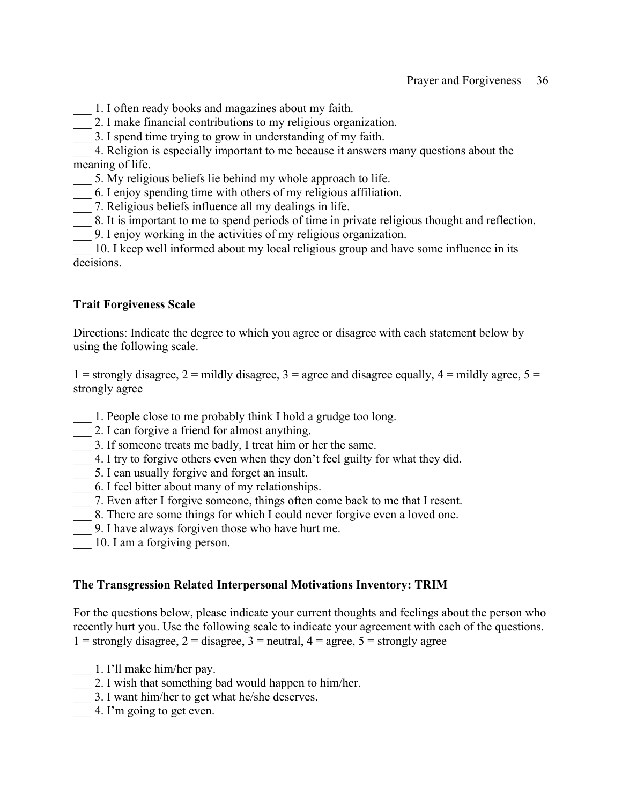- \_\_\_ 1. I often ready books and magazines about my faith.
- \_\_\_ 2. I make financial contributions to my religious organization.
- \_\_\_ 3. I spend time trying to grow in understanding of my faith.

\_\_\_ 4. Religion is especially important to me because it answers many questions about the meaning of life.

- \_\_\_ 5. My religious beliefs lie behind my whole approach to life.
- \_\_\_ 6. I enjoy spending time with others of my religious affiliation.
- \_\_\_ 7. Religious beliefs influence all my dealings in life.
- \_\_\_ 8. It is important to me to spend periods of time in private religious thought and reflection.
- \_\_\_ 9. I enjoy working in the activities of my religious organization.

\_\_\_ 10. I keep well informed about my local religious group and have some influence in its decisions.

### **Trait Forgiveness Scale**

Directions: Indicate the degree to which you agree or disagree with each statement below by using the following scale.

1 = strongly disagree, 2 = mildly disagree, 3 = agree and disagree equally,  $4$  = mildly agree,  $5$  = strongly agree

- \_\_\_ 1. People close to me probably think I hold a grudge too long.
- \_\_\_ 2. I can forgive a friend for almost anything.
- \_\_\_ 3. If someone treats me badly, I treat him or her the same.
- \_\_\_ 4. I try to forgive others even when they don't feel guilty for what they did.
- \_\_\_ 5. I can usually forgive and forget an insult.
- 6. I feel bitter about many of my relationships.
- \_\_\_ 7. Even after I forgive someone, things often come back to me that I resent.
- 18. There are some things for which I could never forgive even a loved one.
- \_\_\_ 9. I have always forgiven those who have hurt me.
- 10. I am a forgiving person.

### **The Transgression Related Interpersonal Motivations Inventory: TRIM**

For the questions below, please indicate your current thoughts and feelings about the person who recently hurt you. Use the following scale to indicate your agreement with each of the questions. 1 = strongly disagree, 2 = disagree, 3 = neutral,  $4 =$  agree, 5 = strongly agree

- \_\_\_ 1. I'll make him/her pay.
- \_\_\_ 2. I wish that something bad would happen to him/her.
- \_\_\_ 3. I want him/her to get what he/she deserves.
- 4. I'm going to get even.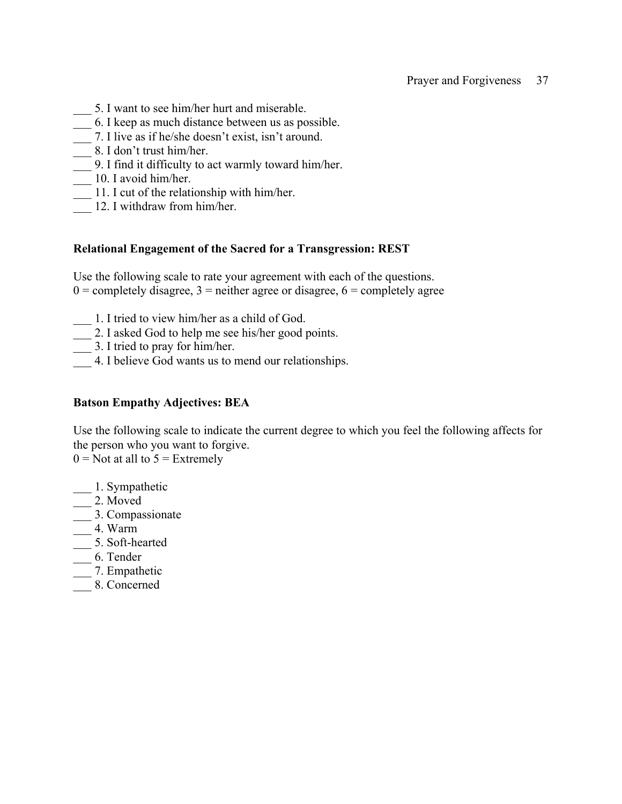- \_\_\_ 5. I want to see him/her hurt and miserable.
- \_\_\_ 6. I keep as much distance between us as possible.
- \_\_\_ 7. I live as if he/she doesn't exist, isn't around.
- \_\_\_ 8. I don't trust him/her.
- \_\_\_ 9. I find it difficulty to act warmly toward him/her.
- $\frac{1}{\sqrt{2}}$  10. I avoid him/her.
- \_\_\_ 11. I cut of the relationship with him/her.
- 12. I withdraw from him/her.

### **Relational Engagement of the Sacred for a Transgression: REST**

Use the following scale to rate your agreement with each of the questions.  $0 =$  completely disagree,  $3 =$  neither agree or disagree,  $6 =$  completely agree

- \_\_\_ 1. I tried to view him/her as a child of God.
- \_\_\_ 2. I asked God to help me see his/her good points.
- \_\_\_ 3. I tried to pray for him/her.
- \_\_\_ 4. I believe God wants us to mend our relationships.

### **Batson Empathy Adjectives: BEA**

Use the following scale to indicate the current degree to which you feel the following affects for the person who you want to forgive.

 $0 = Not$  at all to  $5 = Extremely$ 

- \_\_\_ 1. Sympathetic
- $\frac{1}{2}$ . Moved
- \_\_\_ 3. Compassionate
- $-$  4. Warm
- \_\_\_ 5. Soft-hearted
- \_\_\_ 6. Tender
- \_\_\_ 7. Empathetic
- \_\_\_ 8. Concerned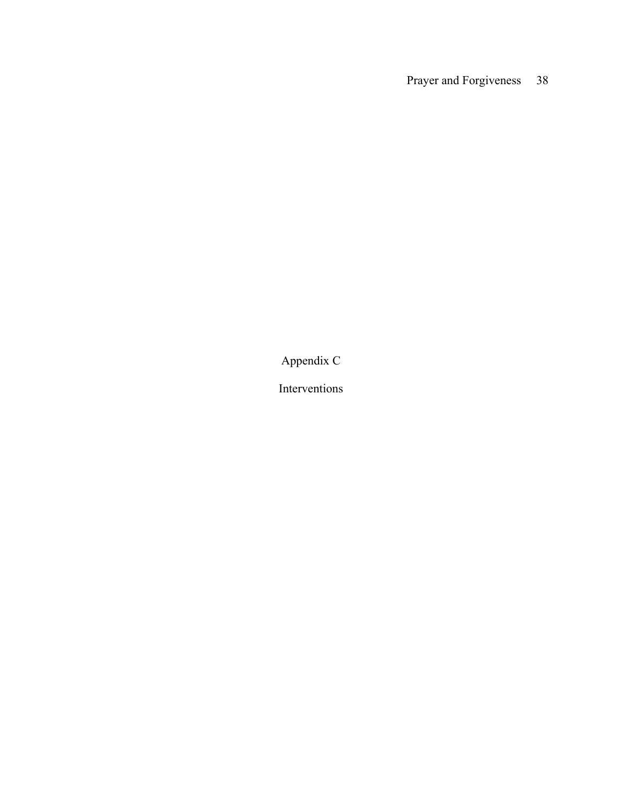Appendix C

Interventions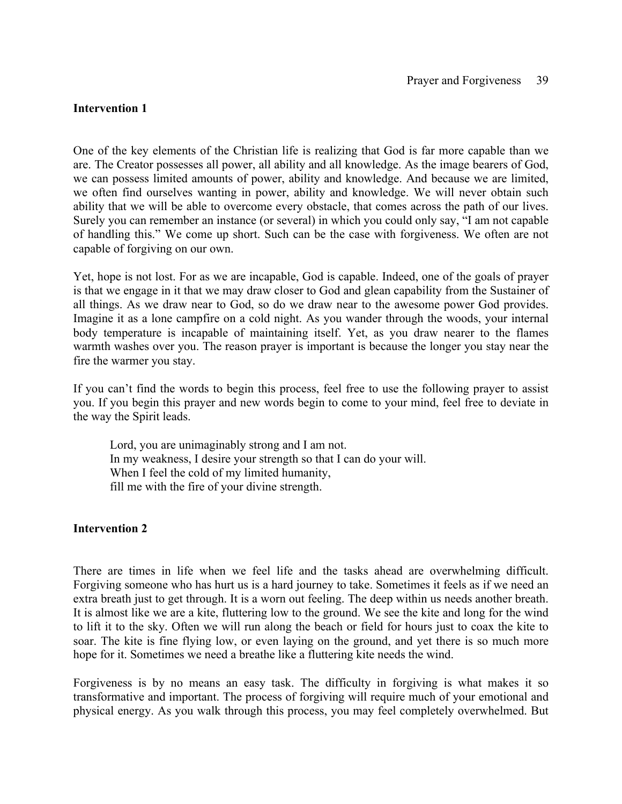### **Intervention 1**

One of the key elements of the Christian life is realizing that God is far more capable than we are. The Creator possesses all power, all ability and all knowledge. As the image bearers of God, we can possess limited amounts of power, ability and knowledge. And because we are limited, we often find ourselves wanting in power, ability and knowledge. We will never obtain such ability that we will be able to overcome every obstacle, that comes across the path of our lives. Surely you can remember an instance (or several) in which you could only say, "I am not capable of handling this." We come up short. Such can be the case with forgiveness. We often are not capable of forgiving on our own.

Yet, hope is not lost. For as we are incapable, God is capable. Indeed, one of the goals of prayer is that we engage in it that we may draw closer to God and glean capability from the Sustainer of all things. As we draw near to God, so do we draw near to the awesome power God provides. Imagine it as a lone campfire on a cold night. As you wander through the woods, your internal body temperature is incapable of maintaining itself. Yet, as you draw nearer to the flames warmth washes over you. The reason prayer is important is because the longer you stay near the fire the warmer you stay.

If you can't find the words to begin this process, feel free to use the following prayer to assist you. If you begin this prayer and new words begin to come to your mind, feel free to deviate in the way the Spirit leads.

Lord, you are unimaginably strong and I am not. In my weakness, I desire your strength so that I can do your will. When I feel the cold of my limited humanity, fill me with the fire of your divine strength.

### **Intervention 2**

There are times in life when we feel life and the tasks ahead are overwhelming difficult. Forgiving someone who has hurt us is a hard journey to take. Sometimes it feels as if we need an extra breath just to get through. It is a worn out feeling. The deep within us needs another breath. It is almost like we are a kite, fluttering low to the ground. We see the kite and long for the wind to lift it to the sky. Often we will run along the beach or field for hours just to coax the kite to soar. The kite is fine flying low, or even laying on the ground, and yet there is so much more hope for it. Sometimes we need a breathe like a fluttering kite needs the wind.

Forgiveness is by no means an easy task. The difficulty in forgiving is what makes it so transformative and important. The process of forgiving will require much of your emotional and physical energy. As you walk through this process, you may feel completely overwhelmed. But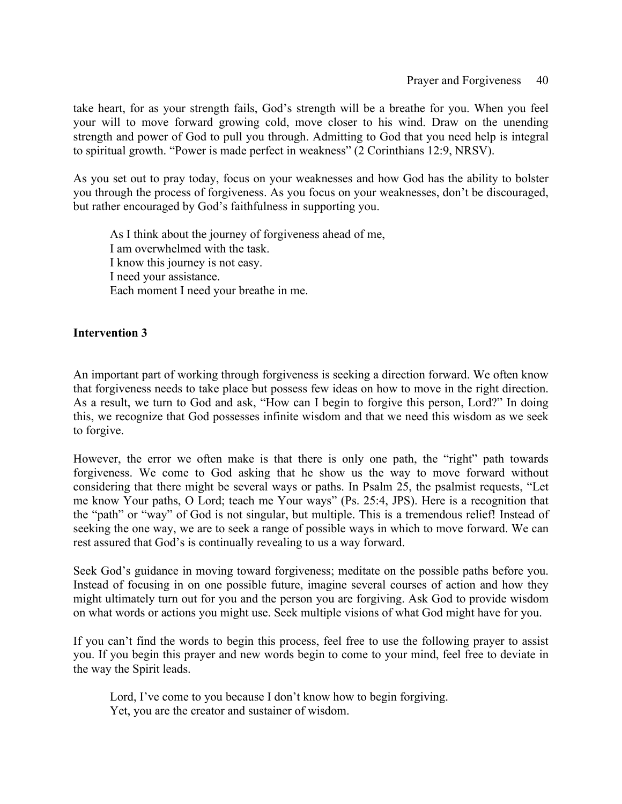take heart, for as your strength fails, God's strength will be a breathe for you. When you feel your will to move forward growing cold, move closer to his wind. Draw on the unending strength and power of God to pull you through. Admitting to God that you need help is integral to spiritual growth. "Power is made perfect in weakness" (2 Corinthians 12:9, NRSV).

As you set out to pray today, focus on your weaknesses and how God has the ability to bolster you through the process of forgiveness. As you focus on your weaknesses, don't be discouraged, but rather encouraged by God's faithfulness in supporting you.

As I think about the journey of forgiveness ahead of me, I am overwhelmed with the task. I know this journey is not easy. I need your assistance. Each moment I need your breathe in me.

### **Intervention 3**

An important part of working through forgiveness is seeking a direction forward. We often know that forgiveness needs to take place but possess few ideas on how to move in the right direction. As a result, we turn to God and ask, "How can I begin to forgive this person, Lord?" In doing this, we recognize that God possesses infinite wisdom and that we need this wisdom as we seek to forgive.

However, the error we often make is that there is only one path, the "right" path towards forgiveness. We come to God asking that he show us the way to move forward without considering that there might be several ways or paths. In Psalm 25, the psalmist requests, "Let me know Your paths, O Lord; teach me Your ways" (Ps. 25:4, JPS). Here is a recognition that the "path" or "way" of God is not singular, but multiple. This is a tremendous relief! Instead of seeking the one way, we are to seek a range of possible ways in which to move forward. We can rest assured that God's is continually revealing to us a way forward.

Seek God's guidance in moving toward forgiveness; meditate on the possible paths before you. Instead of focusing in on one possible future, imagine several courses of action and how they might ultimately turn out for you and the person you are forgiving. Ask God to provide wisdom on what words or actions you might use. Seek multiple visions of what God might have for you.

If you can't find the words to begin this process, feel free to use the following prayer to assist you. If you begin this prayer and new words begin to come to your mind, feel free to deviate in the way the Spirit leads.

Lord, I've come to you because I don't know how to begin forgiving. Yet, you are the creator and sustainer of wisdom.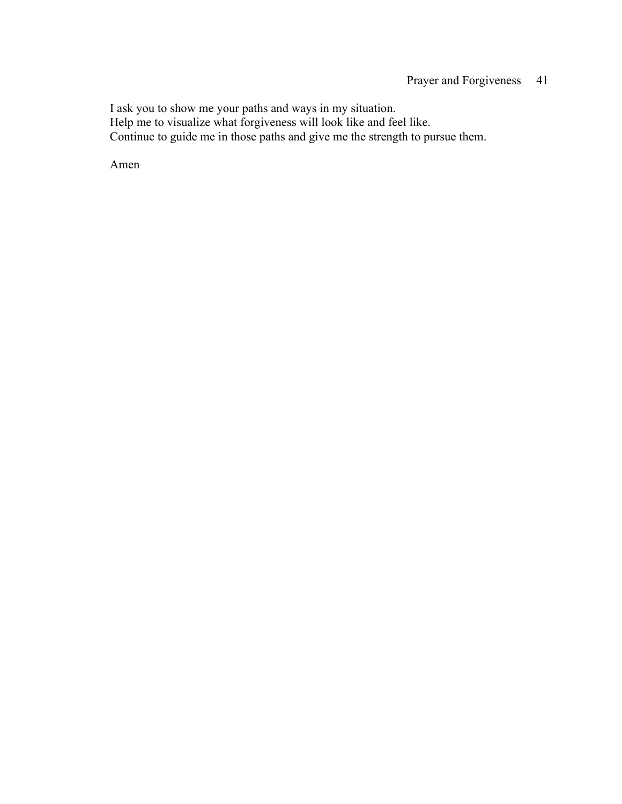I ask you to show me your paths and ways in my situation. Help me to visualize what forgiveness will look like and feel like. Continue to guide me in those paths and give me the strength to pursue them.

Amen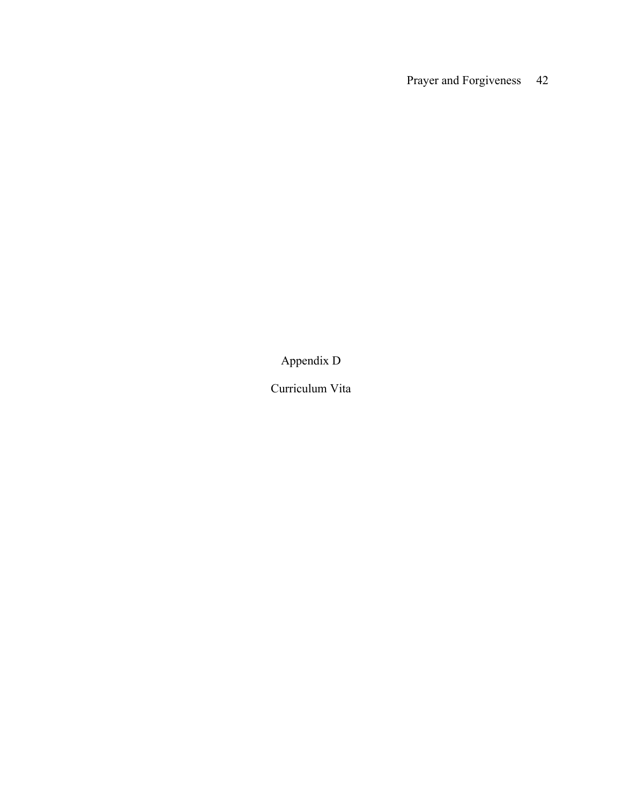Appendix D

Curriculum Vita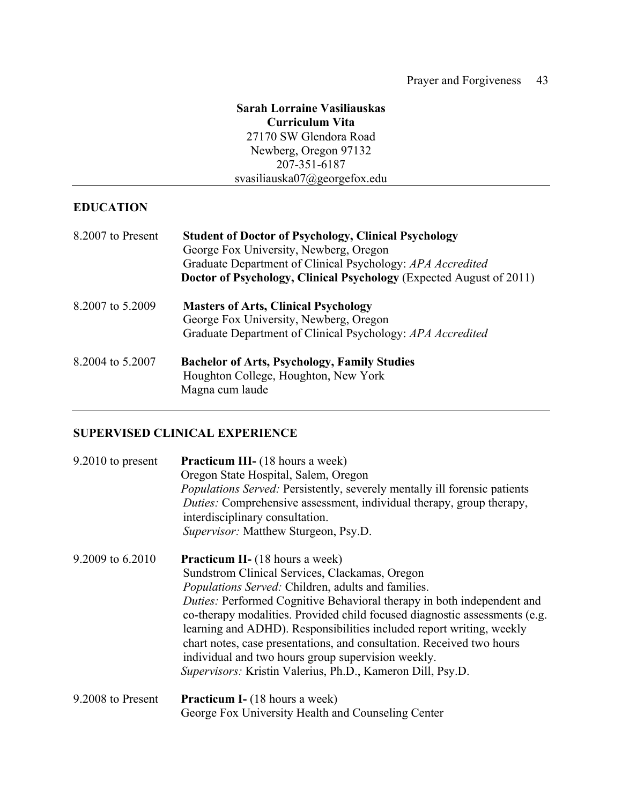### **Sarah Lorraine Vasiliauskas Curriculum Vita** 27170 SW Glendora Road Newberg, Oregon 97132 207-351-6187 svasiliauska07@georgefox.edu

### **EDUCATION**

| 8.2007 to Present | <b>Student of Doctor of Psychology, Clinical Psychology</b><br>George Fox University, Newberg, Oregon<br>Graduate Department of Clinical Psychology: APA Accredited<br>Doctor of Psychology, Clinical Psychology (Expected August of 2011) |
|-------------------|--------------------------------------------------------------------------------------------------------------------------------------------------------------------------------------------------------------------------------------------|
| 8.2007 to 5.2009  | <b>Masters of Arts, Clinical Psychology</b><br>George Fox University, Newberg, Oregon<br>Graduate Department of Clinical Psychology: APA Accredited                                                                                        |
| 8.2004 to 5.2007  | <b>Bachelor of Arts, Psychology, Family Studies</b><br>Houghton College, Houghton, New York<br>Magna cum laude                                                                                                                             |

### **SUPERVISED CLINICAL EXPERIENCE**

| $9.2010$ to present | <b>Practicum III-</b> (18 hours a week)<br>Oregon State Hospital, Salem, Oregon<br><i>Populations Served:</i> Persistently, severely mentally ill forensic patients<br><i>Duties:</i> Comprehensive assessment, individual therapy, group therapy,<br>interdisciplinary consultation.<br>Supervisor: Matthew Sturgeon, Psy.D.                                                                                                                                                                                                                                                      |
|---------------------|------------------------------------------------------------------------------------------------------------------------------------------------------------------------------------------------------------------------------------------------------------------------------------------------------------------------------------------------------------------------------------------------------------------------------------------------------------------------------------------------------------------------------------------------------------------------------------|
| 9.2009 to 6.2010    | <b>Practicum II-</b> (18 hours a week)<br>Sundstrom Clinical Services, Clackamas, Oregon<br>Populations Served: Children, adults and families.<br>Duties: Performed Cognitive Behavioral therapy in both independent and<br>co-therapy modalities. Provided child focused diagnostic assessments (e.g.<br>learning and ADHD). Responsibilities included report writing, weekly<br>chart notes, case presentations, and consultation. Received two hours<br>individual and two hours group supervision weekly.<br><i>Supervisors:</i> Kristin Valerius, Ph.D., Kameron Dill, Psy.D. |
| 9.2008 to Present   | <b>Practicum I-</b> (18 hours a week)<br>George Fox University Health and Counseling Center                                                                                                                                                                                                                                                                                                                                                                                                                                                                                        |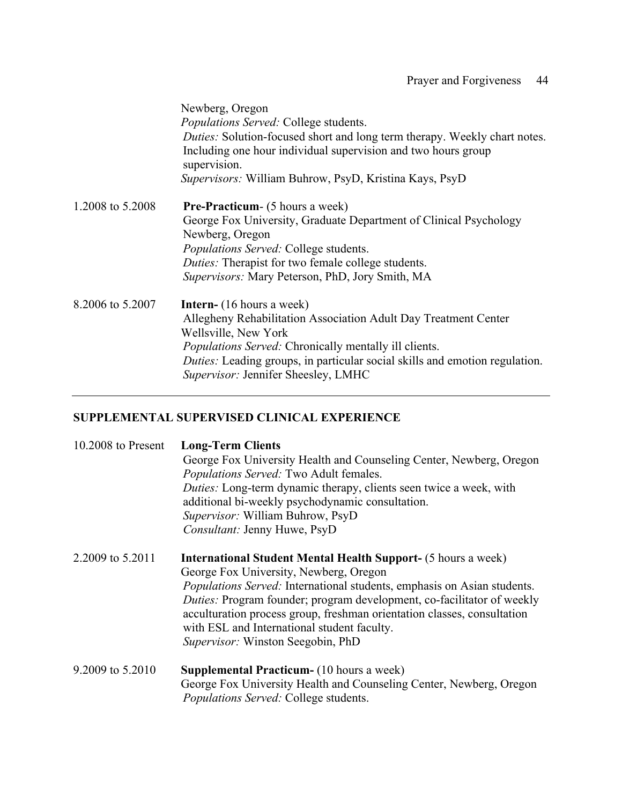|                  | Newberg, Oregon<br><i>Populations Served:</i> College students.<br>Duties: Solution-focused short and long term therapy. Weekly chart notes.<br>Including one hour individual supervision and two hours group<br>supervision.<br>Supervisors: William Buhrow, PsyD, Kristina Kays, PsyD                           |
|------------------|-------------------------------------------------------------------------------------------------------------------------------------------------------------------------------------------------------------------------------------------------------------------------------------------------------------------|
| 1.2008 to 5.2008 | <b>Pre-Practicum-</b> (5 hours a week)<br>George Fox University, Graduate Department of Clinical Psychology<br>Newberg, Oregon<br>Populations Served: College students.<br><i>Duties:</i> Therapist for two female college students.<br>Supervisors: Mary Peterson, PhD, Jory Smith, MA                           |
| 8.2006 to 5.2007 | <b>Intern-</b> (16 hours a week)<br>Allegheny Rehabilitation Association Adult Day Treatment Center<br>Wellsville, New York<br><i>Populations Served:</i> Chronically mentally ill clients.<br>Duties: Leading groups, in particular social skills and emotion regulation.<br>Supervisor: Jennifer Sheesley, LMHC |

# **SUPPLEMENTAL SUPERVISED CLINICAL EXPERIENCE**

| $10.2008$ to Present | <b>Long-Term Clients</b><br>George Fox University Health and Counseling Center, Newberg, Oregon<br>Populations Served: Two Adult females.<br>Duties: Long-term dynamic therapy, clients seen twice a week, with<br>additional bi-weekly psychodynamic consultation.<br>Supervisor: William Buhrow, PsyD<br>Consultant: Jenny Huwe, PsyD                                                                                                   |
|----------------------|-------------------------------------------------------------------------------------------------------------------------------------------------------------------------------------------------------------------------------------------------------------------------------------------------------------------------------------------------------------------------------------------------------------------------------------------|
| 2.2009 to 5.2011     | <b>International Student Mental Health Support- (5 hours a week)</b><br>George Fox University, Newberg, Oregon<br>Populations Served: International students, emphasis on Asian students.<br>Duties: Program founder; program development, co-facilitator of weekly<br>acculturation process group, freshman orientation classes, consultation<br>with ESL and International student faculty.<br><i>Supervisor:</i> Winston Seegobin, PhD |
| 9.2009 to 5.2010     | <b>Supplemental Practicum-</b> (10 hours a week)<br>George Fox University Health and Counseling Center, Newberg, Oregon<br><i>Populations Served:</i> College students.                                                                                                                                                                                                                                                                   |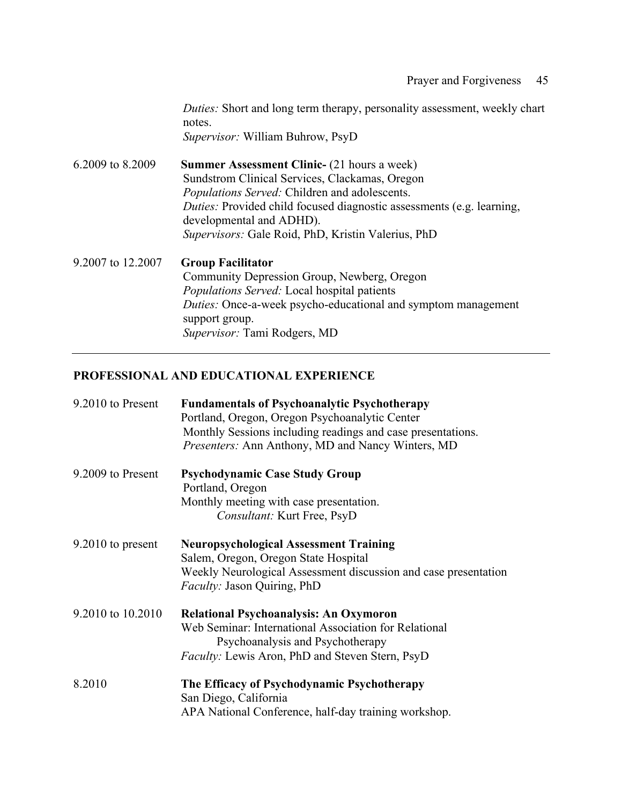*Duties:* Short and long term therapy, personality assessment, weekly chart notes. *Supervisor:* William Buhrow, PsyD

6.2009 to 8.2009 **Summer Assessment Clinic-** (21 hours a week) Sundstrom Clinical Services, Clackamas, Oregon *Populations Served:* Children and adolescents. *Duties:* Provided child focused diagnostic assessments (e.g. learning, developmental and ADHD). *Supervisors:* Gale Roid, PhD, Kristin Valerius, PhD 9.2007 to 12.2007 **Group Facilitator**

Community Depression Group, Newberg, Oregon *Populations Served:* Local hospital patients *Duties:* Once-a-week psycho-educational and symptom management support group. *Supervisor:* Tami Rodgers, MD

### **PROFESSIONAL AND EDUCATIONAL EXPERIENCE**

| 9.2010 to Present   | <b>Fundamentals of Psychoanalytic Psychotherapy</b><br>Portland, Oregon, Oregon Psychoanalytic Center<br>Monthly Sessions including readings and case presentations.<br>Presenters: Ann Anthony, MD and Nancy Winters, MD |
|---------------------|---------------------------------------------------------------------------------------------------------------------------------------------------------------------------------------------------------------------------|
| 9.2009 to Present   | <b>Psychodynamic Case Study Group</b><br>Portland, Oregon<br>Monthly meeting with case presentation.<br>Consultant: Kurt Free, PsyD                                                                                       |
| $9.2010$ to present | <b>Neuropsychological Assessment Training</b><br>Salem, Oregon, Oregon State Hospital<br>Weekly Neurological Assessment discussion and case presentation<br><i>Faculty: Jason Quiring, PhD</i>                            |
| 9.2010 to 10.2010   | <b>Relational Psychoanalysis: An Oxymoron</b><br>Web Seminar: International Association for Relational<br>Psychoanalysis and Psychotherapy<br><i>Faculty:</i> Lewis Aron, PhD and Steven Stern, PsyD                      |
| 8.2010              | The Efficacy of Psychodynamic Psychotherapy<br>San Diego, California<br>APA National Conference, half-day training workshop.                                                                                              |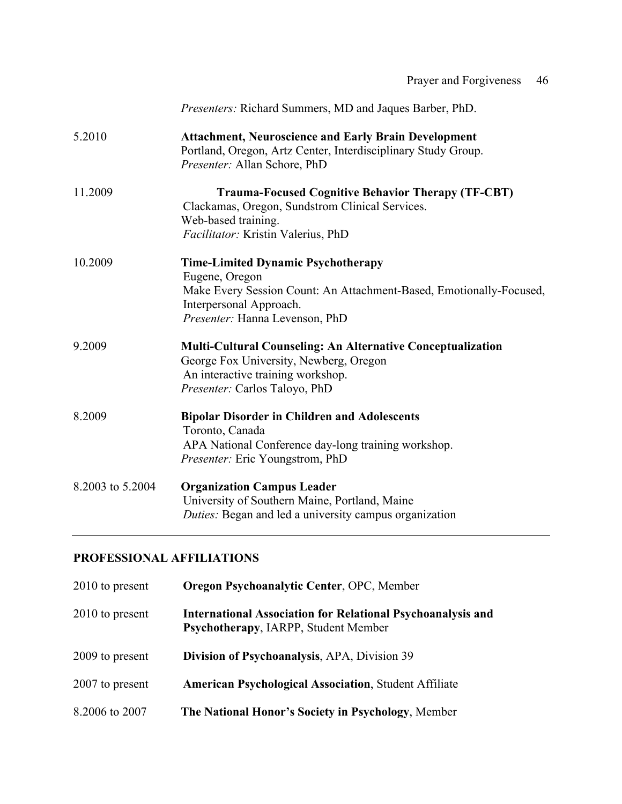| Prayer and Forgiveness | -46 |
|------------------------|-----|
|------------------------|-----|

|                  | Presenters: Richard Summers, MD and Jaques Barber, PhD.                                                                                                                                         |
|------------------|-------------------------------------------------------------------------------------------------------------------------------------------------------------------------------------------------|
| 5.2010           | <b>Attachment, Neuroscience and Early Brain Development</b><br>Portland, Oregon, Artz Center, Interdisciplinary Study Group.<br>Presenter: Allan Schore, PhD                                    |
| 11.2009          | <b>Trauma-Focused Cognitive Behavior Therapy (TF-CBT)</b><br>Clackamas, Oregon, Sundstrom Clinical Services.<br>Web-based training.<br>Facilitator: Kristin Valerius, PhD                       |
| 10.2009          | <b>Time-Limited Dynamic Psychotherapy</b><br>Eugene, Oregon<br>Make Every Session Count: An Attachment-Based, Emotionally-Focused,<br>Interpersonal Approach.<br>Presenter: Hanna Levenson, PhD |
| 9.2009           | <b>Multi-Cultural Counseling: An Alternative Conceptualization</b><br>George Fox University, Newberg, Oregon<br>An interactive training workshop.<br>Presenter: Carlos Taloyo, PhD              |
| 8.2009           | <b>Bipolar Disorder in Children and Adolescents</b><br>Toronto, Canada<br>APA National Conference day-long training workshop.<br><i>Presenter:</i> Eric Youngstrom, PhD                         |
| 8.2003 to 5.2004 | <b>Organization Campus Leader</b><br>University of Southern Maine, Portland, Maine<br><i>Duties:</i> Began and led a university campus organization                                             |

## **PROFESSIONAL AFFILIATIONS**

| 2010 to present | <b>Oregon Psychoanalytic Center, OPC, Member</b>                                                           |
|-----------------|------------------------------------------------------------------------------------------------------------|
| 2010 to present | <b>International Association for Relational Psychoanalysis and</b><br>Psychotherapy, IARPP, Student Member |
| 2009 to present | Division of Psychoanalysis, APA, Division 39                                                               |
| 2007 to present | <b>American Psychological Association, Student Affiliate</b>                                               |
| 8.2006 to 2007  | The National Honor's Society in Psychology, Member                                                         |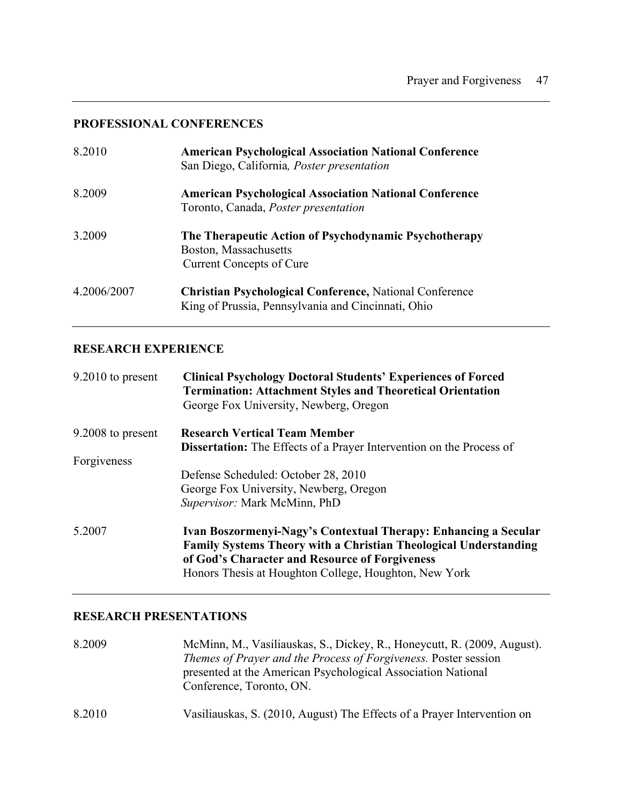### **PROFESSIONAL CONFERENCES**

| 8.2010      | <b>American Psychological Association National Conference</b><br>San Diego, California, <i>Poster presentation</i>   |
|-------------|----------------------------------------------------------------------------------------------------------------------|
| 8.2009      | <b>American Psychological Association National Conference</b><br>Toronto, Canada, <i>Poster presentation</i>         |
| 3.2009      | The Therapeutic Action of Psychodynamic Psychotherapy<br>Boston, Massachusetts<br><b>Current Concepts of Cure</b>    |
| 4.2006/2007 | <b>Christian Psychological Conference, National Conference</b><br>King of Prussia, Pennsylvania and Cincinnati, Ohio |

## **RESEARCH EXPERIENCE**

| 9.2010 to present | <b>Clinical Psychology Doctoral Students' Experiences of Forced</b><br><b>Termination: Attachment Styles and Theoretical Orientation</b><br>George Fox University, Newberg, Oregon |
|-------------------|------------------------------------------------------------------------------------------------------------------------------------------------------------------------------------|
| 9.2008 to present | <b>Research Vertical Team Member</b>                                                                                                                                               |
|                   | <b>Dissertation:</b> The Effects of a Prayer Intervention on the Process of                                                                                                        |
| Forgiveness       |                                                                                                                                                                                    |
|                   | Defense Scheduled: October 28, 2010                                                                                                                                                |
|                   | George Fox University, Newberg, Oregon                                                                                                                                             |
|                   | Supervisor: Mark McMinn, PhD                                                                                                                                                       |
| 5.2007            | Ivan Boszormenyi-Nagy's Contextual Therapy: Enhancing a Secular                                                                                                                    |
|                   | <b>Family Systems Theory with a Christian Theological Understanding</b>                                                                                                            |
|                   | of God's Character and Resource of Forgiveness                                                                                                                                     |
|                   | Honors Thesis at Houghton College, Houghton, New York                                                                                                                              |

# **RESEARCH PRESENTATIONS**

| 8.2009 | McMinn, M., Vasiliauskas, S., Dickey, R., Honeycutt, R. (2009, August).<br><i>Themes of Prayer and the Process of Forgiveness. Poster session</i><br>presented at the American Psychological Association National<br>Conference, Toronto, ON. |
|--------|-----------------------------------------------------------------------------------------------------------------------------------------------------------------------------------------------------------------------------------------------|
| 8.2010 | Vasiliauskas, S. (2010, August) The Effects of a Prayer Intervention on                                                                                                                                                                       |